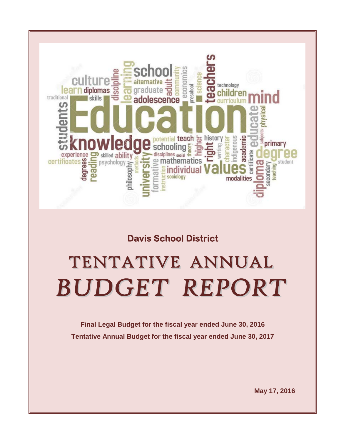

# **Davis School District**

# TENTATIVE ANNUAL **BUDGET REPORT**

**Final Legal Budget for the fiscal year ended June 30, 2016 Tentative Annual Budget for the fiscal year ended June 30, 2017**

**May 17, 2016**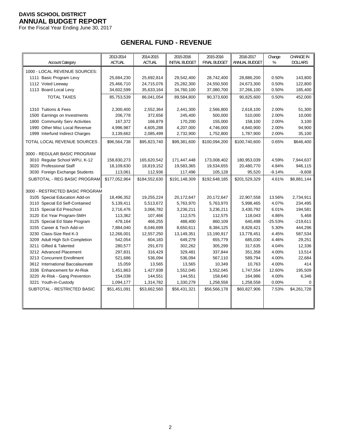For the Fiscal Year Ending June 30, 2017

# **GENERAL FUND - REVENUE**

| <b>Account Category</b>          | 2013-2014<br><b>ACTUAL</b> | 2014-2015<br><b>ACTUAL</b> | 2015-2016<br><b>INITIAL BUDGET</b> | 2015-2016<br><b>FINAL BUDGET</b> | 2016-2017<br>ANNUAL BUDGET | Change<br>% | <b>CHANGE IN</b><br><b>DOLLARS</b> |
|----------------------------------|----------------------------|----------------------------|------------------------------------|----------------------------------|----------------------------|-------------|------------------------------------|
| 1000 - LOCAL REVENUE SOURCES:    |                            |                            |                                    |                                  |                            |             |                                    |
| 1111 Basic Program Levy          | 25,684,230                 | 25,692,814                 | 29,542,400                         | 28,742,400                       | 28,886,200                 | 0.50%       | 143,800                            |
| 1112 Voted Leeway                | 25,466,710                 | 24,715,076                 | 25,282,300                         | 24,550,500                       | 24,673,300                 | 0.50%       | 122,800                            |
| 1113 Board Local Levy            | 34,602,599                 | 35,633,164                 | 34,760,100                         | 37,080,700                       | 37,266,100                 | 0.50%       | 185,400                            |
| <b>TOTAL TAXES</b>               | 85,753,539                 | 86.041.054                 | 89,584,800                         | 90,373,600                       | 90,825,600                 | 0.50%       | 452,000                            |
|                                  |                            |                            |                                    |                                  |                            |             |                                    |
| 1310 Tuitions & Fees             | 2,300,400                  | 2,552,364                  | 2,441,300                          | 2,566,800                        | 2,618,100                  | 2.00%       | 51,300                             |
| 1500 Earnings on Investments     | 206,778                    | 372,656                    | 245,400                            | 500,000                          | 510,000                    | 2.00%       | 10,000                             |
| 1800 Community Serv Activities   | 167,372                    | 166,879                    | 170,200                            | 155,000                          | 158,100                    | 2.00%       | 3,100                              |
| 1990 Other Misc Local Revenue    | 4,996,987                  | 4,605,288                  | 4,207,000                          | 4,746,000                        | 4,840,900                  | 2.00%       | 94,900                             |
| 1999 Interfund Indirect Charges  | 3,139,662                  | 2,085,499                  | 2,732,900                          | 1,752,800                        | 1,787,900                  | 2.00%       | 35,100                             |
| TOTAL LOCAL REVENUE SOURCES.     | \$96,564,738               | \$95,823,740               | \$99,381,600                       | \$100,094,200                    | \$100,740,600              | 0.65%       | \$646,400                          |
|                                  |                            |                            |                                    |                                  |                            |             |                                    |
| 3000 - REGULAR BASIC PROGRAM     |                            |                            |                                    |                                  |                            |             |                                    |
| 3010 Regular School WPU, K-12    | 158,830,273                | 165,620,542                | 171,447,448                        | 173,008,402                      | 180,953,039                | 4.59%       | 7,944,637                          |
| 3020 Professional Staff          | 18,109,630                 | 18,819,152                 | 19,583,365                         | 19,534,655                       | 20,480,770                 | 4.84%       | 946,115                            |
| 3030 Foreign Exchange Students   | 113,061                    | 112,936                    | 117,496                            | 105,128                          | 95,520                     | $-9.14%$    | $-9,608$                           |
| SUBTOTAL - REG BASIC PROGRAM     | \$177,052,964              | \$184,552,630              | \$191,148,309                      | \$192,648,185                    | \$201,529,329              | 4.61%       | \$8,881,144                        |
| 3000 - RESTRICTED BASIC PROGRAM  |                            |                            |                                    |                                  |                            |             |                                    |
| 3105 Special Education Add-on    | 18,496,352                 | 19,255,224                 | 20,172,647                         | 20,172,647                       | 22,907,558                 | 13.56%      | 2,734,911                          |
| 3110 Special Ed Self-Contained   | 5,139,411                  | 5,513,672                  | 5,763,970                          | 5,763,970                        | 5,998,465                  | 4.07%       | 234,495                            |
| 3115 Special Ed Preschool        | 2,716,476                  | 3,066,782                  | 3,236,211                          | 3,236,211                        | 3,430,792                  | 6.01%       | 194,581                            |
| 3120 Ext Year Program-SMH        | 113,362                    | 107,466                    | 112,575                            | 112,575                          | 118,043                    | 4.86%       | 5,468                              |
| 3125 Special Ed State Program    | 478,164                    | 466,255                    | 488,400                            | 860,109                          | 640,498                    | $-25.53%$   | $-219,611$                         |
| 3155 Career & Tech Add-on        | 7,884,040                  | 8,046,699                  | 8,650,611                          | 8,384,125                        | 8,828,421                  | 5.30%       | 444,296                            |
| 3230 Class-Size Red K-3          | 12,266,001                 | 12,557,250                 | 13,149,351                         | 13,190,917                       | 13,778,451                 | 4.45%       | 587,534                            |
| 3209 Adult High Sch Completion   | 542,054                    | 604,183                    | 649,279                            | 655,779                          | 685,030                    | 4.46%       | 29,251                             |
| 3211 Gifted & Talented           | 280,577                    | 291,670                    | 302,262                            | 305,299                          | 317,635                    | 4.04%       | 12,336                             |
| 3212 Advanced Placement          | 297,831                    | 316,429                    | 329,481                            | 337,844                          | 351,358                    | 4.00%       | 13,514                             |
| 3213 Concurrent Enrollment       | 521,686                    | 536,094                    | 536,094                            | 567,110                          | 589,794                    | 4.00%       | 22,684                             |
| 3612 International Baccalaureate | 15,059                     | 13,565                     | 13,565                             | 10,349                           | 10,763                     | 4.00%       | 414                                |
| 3336 Enhancement for At-Risk     | 1,451,863                  | 1,427,938                  | 1,552,045                          | 1,552,045                        | 1,747,554                  | 12.60%      | 195,509                            |
| 3220 At-Risk - Gang Prevention   | 154,038                    | 144,551                    | 144,551                            | 158,640                          | 164,986                    | 4.00%       | 6,346                              |
| 3221 Youth-in-Custody            | 1,094,177                  | 1,314,782                  | 1,330,279                          | 1,258,558                        | 1,258,558                  | 0.00%       | $\Omega$                           |
| SUBTOTAL - RESTRICTED BASIC      | \$51,451,091               | \$53,662,560               | \$56,431,321                       | \$56,566,178                     | \$60,827,906               | 7.53%       | \$4,261,728                        |
|                                  |                            |                            |                                    |                                  |                            |             |                                    |
|                                  |                            |                            |                                    |                                  |                            |             |                                    |
|                                  |                            |                            |                                    |                                  |                            |             |                                    |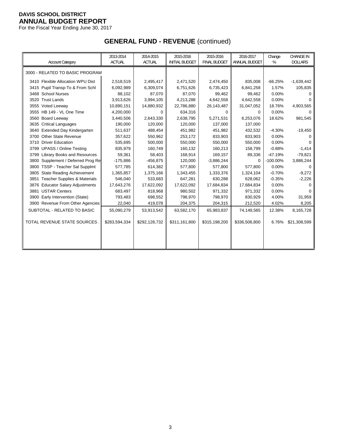For the Fiscal Year Ending June 30, 2017

# **GENERAL FUND - REVENUE** (continued)

|                                                 | 2013-2014     | 2014-2015     | 2015-2016             | 2015-2016           | 2016-2017     | Change      | <b>CHANGE IN</b> |
|-------------------------------------------------|---------------|---------------|-----------------------|---------------------|---------------|-------------|------------------|
| <b>Account Category</b>                         | <b>ACTUAL</b> | <b>ACTUAL</b> | <b>INITIAL BUDGET</b> | <b>FINAL BUDGET</b> | ANNUAL BUDGET | %           | <b>DOLLARS</b>   |
| 3000 - RELATED TO BASIC PROGRAM                 |               |               |                       |                     |               |             |                  |
| 3410 Flexible Allocation WPU Dist               | 2,518,519     | 2,495,417     | 2,471,520             | 2,474,450           | 835,008       | $-66.25%$   | $-1,639,442$     |
| 3415 Pupil Transp-To & From Schl                | 6,092,989     | 6,309,074     | 6,751,626             | 6,735,423           | 6,841,258     | 1.57%       | 105,835          |
| 3468 School Nurses                              | 88,102        | 87,070        | 87,070                | 99,462              | 99,462        | 0.00%       | 0                |
| 3520 Trust Lands                                | 3,913,626     | 3,994,105     | 4,213,288             | 4,642,558           | 4,642,558     | 0.00%       | $\Omega$         |
| 3555 Voted Leeway                               | 10,890,151    | 14,880,932    | 22,786,880            | 26,143,487          | 31,047,052    | 18.76%      | 4,903,565        |
| 3555 HB 149 - VL One Time                       | 4,200,000     | 0             | 634,316               | 0                   | 0             | 0.00%       | $\Omega$         |
| 3560 Board Leeway                               | 3,440,506     | 2,643,330     | 2,638,795             | 5,271,531           | 6,253,076     | 18.62%      | 981,545          |
| 3635 Critical Languages                         | 190,000       | 120,000       | 120,000               | 137,000             | 137,000       |             |                  |
| 3640 Extended Day Kindergarten                  | 511,637       | 488,454       | 451,982               | 451,982             | 432,532       | $-4.30%$    | $-19,450$        |
| <b>Other State Revenue</b><br>3700              | 357,622       | 550,962       | 253,172               | 833,903             | 833,903       | 0.00%       | 0                |
| 3710 Driver Education                           | 535,695       | 500.000       | 550,000               | 550,000             | 550,000       | 0.00%       | $\Omega$         |
| 3799 UPASS / Online Testing                     | 835,979       | 160,749       | 160,132               | 160,213             | 158,799       | $-0.88%$    | $-1,414$         |
| <b>Library Books and Resources</b><br>3799      | 59,361        | 58,403        | 168,914               | 169,157             | 89,336        | $-47.19%$   | $-79,821$        |
| Supplement / Deferred Prog Re<br>3800           | $-175,886$    | $-456,875$    | 120,000               | $-3,886,244$        | $\Omega$      | $-100.00\%$ | 3,886,244        |
| 3800 TSSP - Teacher Sal Supplmt                 | 577,785       | 614,382       | 577,800               | 577,800             | 577,800       | 0.00%       | ∩                |
| <b>State Reading Achievement</b><br>3805        | 1,365,857     | 1,375,166     | 1,343,455             | 1,333,376           | 1,324,104     | $-0.70%$    | $-9,272$         |
| <b>Teacher Supplies &amp; Materials</b><br>3851 | 546,040       | 533,683       | 647,281               | 630,288             | 628,062       | $-0.35%$    | $-2,226$         |
| 3876 Educator Salary Adjustments                | 17,643,276    | 17,622,092    | 17,622,092            | 17,684,834          | 17,684,834    | 0.00%       | $\Omega$         |
| <b>USTAR Centers</b><br>3881                    | 683,497       | 818,968       | 980,502               | 971,332             | 971,332       | 0.00%       | $\Omega$         |
| 3900 Early Intervention (State)                 | 793,483       | 698,552       | 798,970               | 798,970             | 830,929       | 4.00%       | 31,959           |
| 3900 Revenue From Other Agencies                | 22,040        | 419,078       | 204,375               | 204,315             | 212,520       | 4.02%       | 8,205            |
| SUBTOTAL - RELATED TO BASIC                     | 55,090,279    | 53,913,542    | 63,582,170            | 65,983,837          | 74,149,565    | 12.38%      | 8,165,728        |
|                                                 |               |               |                       |                     |               |             |                  |
| TOTAL REVENUE STATE SOURCES                     | \$283,594,334 | \$292,128,732 | \$311,161,800         | \$315,198,200       | \$336,506,800 | 6.76%       | \$21,308,599     |
|                                                 |               |               |                       |                     |               |             |                  |
|                                                 |               |               |                       |                     |               |             |                  |
|                                                 |               |               |                       |                     |               |             |                  |
|                                                 |               |               |                       |                     |               |             |                  |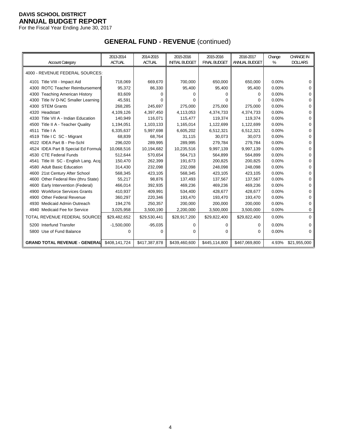For the Fiscal Year Ending June 30, 2017

# **GENERAL FUND - REVENUE** (continued)

|                                          | 2013-2014     | 2014-2015     | 2015-2016             | 2015-2016           | 2016-2017     | Change | CHANGE IN      |
|------------------------------------------|---------------|---------------|-----------------------|---------------------|---------------|--------|----------------|
| <b>Account Category</b>                  | <b>ACTUAL</b> | <b>ACTUAL</b> | <b>INITIAL BUDGET</b> | <b>FINAL BUDGET</b> | ANNUAL BUDGET | %      | <b>DOLLARS</b> |
| 4000 - REVENUE FEDERAL SOURCES:          |               |               |                       |                     |               |        |                |
| 4101 Title VIII - Impact Aid             | 718,069       | 669,670       | 700,000               | 650,000             | 650,000       | 0.00%  | 0              |
| 4300 ROTC Teacher Reimbursement          | 95,372        | 86,330        | 95,400                | 95,400              | 95,400        | 0.00%  | 0              |
| <b>Teaching American History</b><br>4300 | 83,609        | 0             | 0                     | $\Omega$            | 0             | 0.00%  | 0              |
| Title IV D-NC Smaller Learning<br>4300   | 45,591        | U             | 0                     | $\Omega$            | 0             | 0.00%  | 0              |
| 4300 STEM Grants                         | 268,285       | 245,697       | 275,000               | 275,000             | 275,000       | 0.00%  | 0              |
| 4320 Headstart                           | 4,109,126     | 4,397,450     | 4,113,053             | 4,374,733           | 4,374,733     | 0.00%  | 0              |
| 4330 Title VII A - Indian Education      | 140,949       | 116,071       | 115,477               | 119.374             | 119,374       | 0.00%  | 0              |
| 4500 Title II A - Teacher Quality        | 1,194,051     | 1,103,133     | 1,165,014             | 1,122,699           | 1,122,699     | 0.00%  | 0              |
| 4511 Title   A                           | 6,335,637     | 5,997,698     | 6,605,202             | 6,512,321           | 6,512,321     | 0.00%  | 0              |
| 4519 Title I C SC - Migrant              | 68,839        | 68,764        | 31,115                | 30,073              | 30,073        | 0.00%  | 0              |
| 4522 IDEA Part B - Pre-Schl              | 296,020       | 289,995       | 289,995               | 279,784             | 279,784       | 0.00%  | 0              |
| 4524 IDEA Part B Special Ed Formula      | 10,068,516    | 10,194,682    | 10,235,516            | 9,997,139           | 9,997,139     | 0.00%  | 0              |
| 4530 CTE Federal Funds                   | 512,644       | 570,654       | 564,713               | 564,899             | 564,899       | 0.00%  | 0              |
| Title III SC - English Lang. Acq<br>4541 | 150,470       | 262,399       | 191,673               | 200,825             | 200,825       | 0.00%  | 0              |
| 4580 Adult Basic Education               | 314,430       | 232,098       | 232,098               | 248,098             | 248,098       | 0.00%  | 0              |
| 4600 21st Century After School           | 568,345       | 423,105       | 568,345               | 423,105             | 423,105       | 0.00%  | 0              |
| 4600 Other Federal Rev (thru State)      | 55,217        | 98,876        | 137,493               | 137,567             | 137,567       | 0.00%  | 0              |
| Early Intervention (Federal)<br>4600     | 466,014       | 392,935       | 469,236               | 469,236             | 469,236       | 0.00%  | 0              |
| 4900 Workforce Services Grants           | 410,937       | 409,991       | 534,400               | 428,677             | 428,677       | 0.00%  | 0              |
| <b>Other Federal Revenue</b><br>4900     | 360,297       | 220,346       | 193,470               | 193,470             | 193,470       | 0.00%  | 0              |
| 4930 Medicaid Admin Outreach             | 194,276       | 250,357       | 200,000               | 200,000             | 200,000       | 0.00%  | 0              |
| 4940 Medicaid Fee for Service            | 3,025,958     | 3,500,190     | 2,200,000             | 3,500,000           | 3,500,000     | 0.00%  | 0              |
| TOTAL REVENUE FEDERAL SOURCE             | \$29,482,652  | \$29,530,441  | \$28,917,200          | \$29,822,400        | \$29,822,400  | 0.00%  | $\Omega$       |
| 5200 Interfund Transfer                  | $-1,500,000$  | $-95,035$     | 0                     | $\mathbf 0$         | 0             | 0.00%  | $\Omega$       |
| 5800 Use of Fund Balance                 | 0             | 0             | 0                     | 0                   | 0             | 0.00%  | 0              |
| <b>GRAND TOTAL REVENUE - GENERAL</b>     | \$408,141,724 | \$417,387,878 | \$439,460,600         | \$445,114,800       | \$467,069,800 | 4.93%  | \$21,955,000   |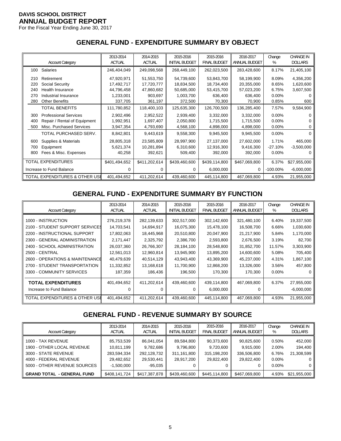For the Fiscal Year Ending June 30, 2017

#### **GENERAL FUND - EXPENDITURE SUMMARY BY OBJECT**

|     |                                | 2013-2014     | 2014-2015     | 2015-2016             | 2015-2016           | 2016-2017     | Change      | <b>CHANGE IN</b> |
|-----|--------------------------------|---------------|---------------|-----------------------|---------------------|---------------|-------------|------------------|
|     | <b>Account Category</b>        | <b>ACTUAL</b> | <b>ACTUAL</b> | <b>INITIAL BUDGET</b> | <b>FINAL BUDGET</b> | ANNUAL BUDGET | %           | <b>DOLLARS</b>   |
| 100 | Salaries                       | 246,404,049   | 249,098,568   | 268,449,100           | 262,023,500         | 283,428,600   | 8.17%       | 21,405,100       |
| 210 | Retirement                     | 47,920,971    | 51,553,750    | 54,739,600            | 53,843,700          | 58,199,900    | 8.09%       | 4,356,200        |
| 220 | Social Security                | 17,492,717    | 17,720,777    | 18,834,500            | 18,734,400          | 20,355,000    | 8.65%       | 1,620,600        |
| 240 | Health Insurance               | 44,796,458    | 47,860,682    | 50,685,000            | 53,415,700          | 57,023,200    | 6.75%       | 3,607,500        |
| 270 | Industrial Insurance           | 1,233,001     | 903,697       | 1,003,700             | 636,400             | 636,400       | 0.00%       |                  |
| 280 | <b>Other Benefits</b>          | 337,705       | 361,197       | 372,500               | 70,300              | 70,900        | 0.85%       | 600              |
|     | TOTAL BENEFITS                 | 111,780,852   | 118,400,103   | 125,635,300           | 126,700,500         | 136,285,400   | 7.57%       | 9,584,900        |
| 300 | <b>Professional Services</b>   | 2,902,496     | 2,952,522     | 2,939,400             | 3,332,000           | 3,332,000     | $0.00\%$    |                  |
| 400 | Repair / Rental of Equipment   | 1,992,951     | 1,697,407     | 2,050,800             | 1,715,500           | 1,715,500     | $0.00\%$    |                  |
| 500 | Misc. Purchased Services       | 3,947,354     | 4,793,690     | 4,568,100             | 4,898,000           | 4,898,000     | 0.00%       |                  |
|     | TOTAL PURCHASED SERV.          | 8,842,801     | 9,443,619     | 9,558,300             | 9,945,500           | 9,945,500     | 0.00%       | 0                |
| 600 | Supplies & Materials           | 28,805,318    | 23,585,809    | 28,997,900            | 27,137,000          | 27,602,000    | 1.71%       | 465,000          |
| 700 | Equipment                      | 5,621,374     | 10,281,894    | 6,310,600             | 12,916,300          | 9,416,300     | $-27.10%$   | $-3,500,000$     |
| 800 | Fees & Misc. Expenses          | 40,258        | 392,621       | 509,400               | 392,000             | 392,000       | 0.00%       |                  |
|     | TOTAL EXPENDITURES             | \$401,494,652 | \$411,202,614 | \$439,460,600         | \$439,114,800       | \$467,069,800 | 6.37%       | \$27,955,000     |
|     | Increase to Fund Balance       | 0             | <sup>0</sup>  | 0                     | 6,000,000           | 0             | $-100.00\%$ | $-6,000,000$     |
|     | TOTAL EXPENDITURES & OTHER USE | 401,494,652   | 411,202,614   | 439,460,600           | 445,114,800         | 467,069,800   | 4.93%       | 21,955,000       |

# **GENERAL FUND - EXPENDITURE SUMMARY BY FUNCTION**

| <b>Account Category</b>         | 2013-2014<br><b>ACTUAL</b> | 2014-2015<br><b>ACTUAL</b> | 2015-2016<br><b>INITIAL BUDGET</b> | 2015-2016<br><b>FINAL BUDGET</b> | 2016-2017<br>ANNUAL BUDGET | Change<br>% | <b>CHANGE IN</b><br><b>DOLLARS</b> |
|---------------------------------|----------------------------|----------------------------|------------------------------------|----------------------------------|----------------------------|-------------|------------------------------------|
|                                 |                            |                            |                                    |                                  |                            |             |                                    |
| 1000 - INSTRUCTION              | 276,219,378                | 282,139,633                | 302,517,000                        | 302,142,600                      | 321,480,100                | 6.40%       | 19,337,500                         |
| 2100 - STUDENT SUPPORT SERVICES | 14,703,541                 | 14,694,917                 | 16,075,300                         | 15,478,100                       | 16,508,700                 | 6.66%       | 1,030,600                          |
| 2200 - INSTRUCTIONAL SUPPORT    | 17,802,063                 | 18,445,968                 | 20,510,800                         | 20,047,900                       | 21,217,900                 | 5.84%       | 1,170,000                          |
| 2300 - GENERAL ADMINISTRATION   | 2,171,447                  | 2,325,792                  | 2,386,700                          | 2,593,800                        | 2,676,500                  | 3.19%       | 82,700                             |
| 2400 - SCHOOL ADMINISTRATION    | 26,037,360                 | 26,766,307                 | 28,184,100                         | 28,548,800                       | 31,852,700                 | 11.57%      | 3,303,900                          |
| 2500 - CENTRAL                  | 12,561,013                 | 12,960,814                 | 13,945,900                         | 13,895,200                       | 14,600,600                 | 5.08%       | 705,400                            |
| 2600 - OPERATIONS & MAINTENANCE | 40,479,639                 | 40,514,129                 | 43,943,400                         | 43,369,900                       | 45,237,000                 | 4.31%       | 1,867,100                          |
| 2700 - STUDENT TRANSPORTATION   | 11,332,852                 | 13,168,618                 | 11,700,900                         | 12,868,200                       | 13,326,000                 | 3.56%       | 457,800                            |
| 3300 - COMMUNITY SERVICES       | 187,359                    | 186,436                    | 196,500                            | 170,300                          | 170,300                    | $0.00\%$    |                                    |
| <b>TOTAL EXPENDITURES</b>       | 401,494,652                | 411,202,614                | 439,460,600                        | 439,114,800                      | 467,069,800                | 6.37%       | 27,955,000                         |
| Increase to Fund Balance        | $\Omega$                   |                            |                                    | 6,000,000                        | 0                          |             | $-6,000,000$                       |
| TOTAL EXPENDITURES & OTHER USI  | 401,494,652                | 411,202,614                | 439,460,600                        | 445,114,800                      | 467,069,800                | 4.93%       | 21,955,000                         |

# **GENERAL FUND - REVENUE SUMMARY BY SOURCE**

| <b>Account Category</b>                                                                                                            | 2013-2014<br><b>ACTUAL</b>                                            | 2014-2015<br><b>ACTUAL</b>                                        | 2015-2016<br><b>INITIAL BUDGET</b>                   | 2015-2016<br><b>FINAL BUDGET</b>                          | 2016-2017<br>ANNUAL BUDGET                           | Change<br>%                                     | <b>CHANGE IN</b><br><b>DOLLARS</b> |
|------------------------------------------------------------------------------------------------------------------------------------|-----------------------------------------------------------------------|-------------------------------------------------------------------|------------------------------------------------------|-----------------------------------------------------------|------------------------------------------------------|-------------------------------------------------|------------------------------------|
| 1000 - TAX REVENUE<br>1900 - OTHER LOCAL REVENUE<br>3000 - STATE REVENUE<br>4000 - FEDERAL REVENUE<br>5000 - OTHER REVENUE SOURCES | 85,753,539<br>10,811,199<br>283,594,334<br>29,482,652<br>$-1,500,000$ | 86,041,054<br>9,782,686<br>292,128,732<br>29,530,441<br>$-95,035$ | 89,584,800<br>9,796,800<br>311,161,800<br>28,917,200 | 90,373,600<br>9,720,600<br>315,198,200<br>29.822.400<br>0 | 90,825,600<br>9,915,000<br>336,506,800<br>29.822.400 | 0.50%<br>2.00%<br>6.76%<br>$0.00\%$<br>$0.00\%$ | 452,000<br>194.400<br>21,308,599   |
| <b>GRAND TOTAL - GENERAL FUND</b>                                                                                                  | \$408,141,724                                                         | \$417,387,878                                                     | \$439,460,600                                        | \$445,114,800                                             | \$467,069,800                                        | 4.93%                                           | \$21,955,000                       |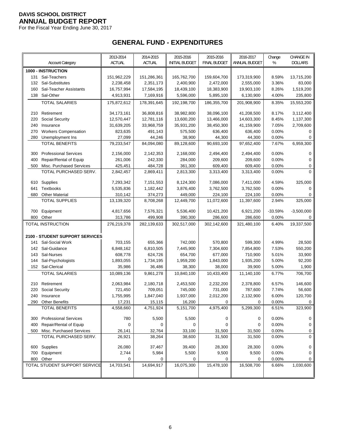For the Fiscal Year Ending June 30, 2017

# **GENERAL FUND - EXPENDITURES**

|     | <b>Account Category</b>                               | 2013-2014<br>ACTUAL | 2014-2015<br><b>ACTUAL</b> | 2015-2016<br><b>INITIAL BUDGET</b> | 2015-2016<br><b>FINAL BUDGET</b> | 2016-2017<br>ANNUAL BUDGET | Change<br>% | <b>CHANGE IN</b><br><b>DOLLARS</b> |
|-----|-------------------------------------------------------|---------------------|----------------------------|------------------------------------|----------------------------------|----------------------------|-------------|------------------------------------|
|     | 1000 - INSTRUCTION                                    |                     |                            |                                    |                                  |                            |             |                                    |
| 131 | Sal-Teachers                                          | 151,962,229         | 151,286,361                | 165,762,700                        | 159,604,700                      | 173,319,900                | 8.59%       | 13,715,200                         |
| 132 | Sal-Substitutes                                       | 2,238,458           | 2,351,173                  | 2,400,900                          | 2,472,000                        | 2,555,000                  | 3.36%       | 83,000                             |
| 160 | Sal-Teacher Assistants                                | 16,757,994          | 17,584,195                 | 18,439,100                         | 18,383,900                       | 19,903,100                 | 8.26%       | 1,519,200                          |
| 138 | Sal-Other                                             | 4,913,931           | 7,169,916                  | 5,596,000                          | 5,895,100                        | 6,130,900                  | 4.00%       | 235,800                            |
|     | <b>TOTAL SALARIES</b>                                 | 175,872,612         | 178,391,645                | 192,198,700                        | 186,355,700                      | 201,908,900                | 8.35%       | 15,553,200                         |
|     |                                                       |                     |                            |                                    |                                  |                            |             |                                    |
| 210 | Retirement                                            | 34, 173, 161        | 36,808,816                 | 38,982,800                         | 38,096,100                       | 41,208,500                 | 8.17%       | 3,112,400                          |
| 220 | Social Security                                       | 12,570,447          | 12,781,116                 | 13,600,200                         | 13,466,000                       | 14,603,300                 | 8.45%       | 1,137,300                          |
| 240 | Insurance                                             | 31,639,205          | 33,968,759                 | 35,931,200                         | 38,450,300                       | 41,159,900                 | 7.05%       | 2,709,600                          |
| 270 | <b>Workers Compensation</b>                           | 823,635             | 491,143                    | 575,500                            | 636,400                          | 636,400                    | 0.00%       | 0                                  |
| 280 | Unemployment Ins                                      | 27,099              | 44,246                     | 38,900                             | 44,300                           | 44,300                     | 0.00%       | 0                                  |
|     | <b>TOTAL BENEFITS</b>                                 | 79,233,547          | 84,094,080                 | 89,128,600                         | 90,693,100                       | 97,652,400                 | 7.67%       | 6,959,300                          |
| 300 | <b>Professional Services</b>                          | 2,156,000           | 2,142,353                  | 2,168,000                          | 2,494,400                        | 2,494,400                  | 0.00%       | 0                                  |
| 400 | Repair/Rental of Equip                                | 261,006             | 242,330                    | 284,000                            | 209,600                          | 209,600                    | 0.00%       | 0                                  |
| 500 | Misc. Purchased Services                              | 425,451             | 484,728                    | 361,300                            | 609,400                          | 609,400                    | 0.00%       | 0                                  |
|     | TOTAL PURCHASED SERV.                                 | 2,842,457           | 2,869,411                  | 2,813,300                          | 3,313,400                        | 3,313,400                  | 0.00%       | $\Omega$                           |
|     |                                                       |                     |                            |                                    |                                  |                            |             |                                    |
| 610 | Supplies                                              | 7,293,342           | 7,151,553                  | 8,124,300                          | 7,086,000                        | 7,411,000                  | 4.59%       | 325,000                            |
| 641 | <b>Textbooks</b>                                      | 5,535,836           | 1,182,442                  | 3,876,400                          | 3,762,500                        | 3,762,500                  | 0.00%       | 0                                  |
| 680 | <b>Other Material</b><br><b>TOTAL SUPPLIES</b>        | 310,142             | 374,273                    | 449,000                            | 224,100                          | 224,100                    | 0.00%       | 0                                  |
|     |                                                       | 13,139,320          | 8,708,268                  | 12,449,700                         | 11,072,600                       | 11,397,600                 | 2.94%       | 325,000                            |
| 700 | Equipment                                             | 4,817,656           | 7,576,321                  | 5,536,400                          | 10,421,200                       | 6,921,200                  | -33.59%     | $-3,500,000$                       |
| 800 | Other                                                 | 313,786             | 499,908                    | 390,300                            | 286,600                          | 286,600                    | 0.00%       | 0                                  |
|     | TOTAL INSTRUCTION                                     | 276,219,378         | 282,139,633                | 302,517,000                        | 302,142,600                      | 321,480,100                | 6.40%       | 19,337,500                         |
|     |                                                       |                     |                            |                                    |                                  |                            |             |                                    |
|     | 2100 - STUDENT SUPPORT SERVICES                       |                     |                            |                                    |                                  |                            |             |                                    |
| 141 | Sal-Social Work                                       | 703,155             | 655,366                    | 742,000                            | 570,800                          | 599,300                    | 4.99%       | 28,500                             |
| 142 | Sal-Guidance                                          | 6,848,162           | 6,810,505                  | 7,445,900                          | 7,304,600                        | 7,854,800                  | 7.53%       | 550,200                            |
| 143 | Sal-Nurses                                            | 608,778             | 624,726                    | 654,700                            | 677,000                          | 710,900                    | 5.01%       | 33,900                             |
| 144 | Sal-Psychologists                                     | 1,893,055           | 1,734,195                  | 1,959,200                          | 1,843,000                        | 1,935,200                  | 5.00%       | 92,200                             |
| 152 | Sal-Clerical                                          | 35,986              | 36,486                     | 38,300                             | 38,000                           | 39,900                     | 5.00%       | 1,900                              |
|     | <b>TOTAL SALARIES</b>                                 | 10,089,136          | 9,861,278                  | 10,840,100                         | 10,433,400                       | 11,140,100                 | 6.77%       | 706,700                            |
| 210 | Retirement                                            | 2,063,984           | 2,180,718                  | 2,453,500                          | 2,232,200                        | 2,378,800                  | 6.57%       | 146,600                            |
| 220 | Social Security                                       | 721,450             | 709,051                    | 745,000                            | 731,000                          | 787,600                    | 7.74%       | 56,600                             |
| 240 | Insurance                                             | 1,755,995           | 1,847,040                  | 1,937,000                          | 2,012,200                        | 2,132,900                  | 6.00%       | 120,700                            |
|     | 290 Other Benefits                                    | 17,231              | 15,115                     | 16,200                             | $\Omega$                         | 0                          | 0.00%       | 0                                  |
|     | <b>TOTAL BENEFITS</b>                                 | 4,558,660           | 4,751,924                  | 5,151,700                          | 4,975,400                        | 5,299,300                  | 6.51%       | 323,900                            |
|     |                                                       |                     |                            |                                    |                                  |                            |             |                                    |
|     | 300 Professional Services                             | 780                 | 5,500                      | 5,500                              | 0                                | 0                          | 0.00%       | 0                                  |
| 400 | Repair/Rental of Equip                                | 0                   | 0                          | 0                                  | 0                                | 0                          | 0.00%       | 0                                  |
|     | 500 Misc. Purchased Services<br>TOTAL PURCHASED SERV. | 26,141              | 32,764                     | 33,100                             | 31,500                           | 31,500                     | 0.00%       | 0<br>0                             |
|     |                                                       | 26,921              | 38,264                     | 38,600                             | 31,500                           | 31,500                     | 0.00%       |                                    |
|     | 600 Supplies                                          | 26,080              | 37,467                     | 39,400                             | 28,300                           | 28,300                     | 0.00%       | 0                                  |
|     | 700 Equipment                                         | 2,744               | 5,984                      | 5,500                              | 9,500                            | 9,500                      | 0.00%       | 0                                  |
|     | 800 Other                                             | 0                   | 0                          | 0                                  | 0                                | 0                          | 0.00%       | 0                                  |
|     | TOTAL STUDENT SUPPORT SERVICE                         | 14,703,541          | 14,694,917                 | 16,075,300                         | 15,478,100                       | 16,508,700                 | 6.66%       | 1,030,600                          |
|     |                                                       |                     |                            |                                    |                                  |                            |             |                                    |
|     |                                                       |                     |                            |                                    |                                  |                            |             |                                    |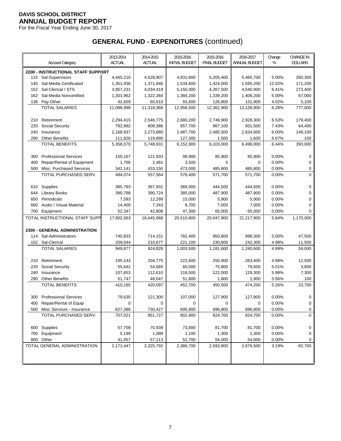For the Fiscal Year Ending June 30, 2017

|     |                                                | 2013-2014     | 2014-2015     | 2015-2016             | 2015-2016           | 2016-2017     | Change         | <b>CHANGE IN</b> |
|-----|------------------------------------------------|---------------|---------------|-----------------------|---------------------|---------------|----------------|------------------|
|     | <b>Account Category</b>                        | <b>ACTUAL</b> | <b>ACTUAL</b> | <b>INITIAL BUDGET</b> | <b>FINAL BUDGET</b> | ANNUAL BUDGET | %              | <b>DOLLARS</b>   |
|     | 2200 - INSTRUCTIONAL STAFF SUPPORT             |               |               |                       |                     |               |                |                  |
| 115 | Sal-Supervisors                                | 4,445,210     | 4,528,907     | 4,831,800             | 5,205,400           | 5,465,700     | 5.00%          | 260,300          |
| 145 | Sal-Media Certificated                         | 1,351,936     | 1,371,848     | 1,534,600             | 1,424,000           | 1,595,200     | 12.02%         | 171,200          |
| 152 | Sal-Clerical / STS                             | 3,957,231     | 4,034,419     | 5,150,300             | 4,267,500           | 4,540,900     | 6.41%          | 273,400          |
| 162 | Sal-Media Noncertified                         | 1,301,962     | 1,322,384     | 1,384,200             | 1,339,200           | 1,406,200     | 5.00%          | 67,000           |
| 138 | Pay-Other                                      | 42,659        | 60,810        | 55,600                | 126,800             | 131,900       | 4.02%          | 5,100            |
|     | <b>TOTAL SALARIES</b>                          | 11,098,998    | 11,318,368    | 12,956,500            | 12,362,900          | 13,139,900    | 6.28%          | 777,000          |
|     |                                                |               |               |                       |                     |               |                |                  |
| 210 | Retirement                                     | 2,294,415     | 2,546,775     | 2,680,200             | 2,748,900           | 2,928,300     | 6.53%          | 179,400          |
| 220 | Social Security                                | 782,892       | 808,386       | 857,700               | 867,100             | 931,500       | 7.43%          | 64,400           |
| 240 | Insurance                                      | 2,168,937     | 2,273,880     | 2,487,700             | 2,485,500           | 2,634,600     | 6.00%          | 149,100          |
| 290 | <b>Other Benefits</b>                          | 111,826       | 119,890       | 127,300               | 1,500               | 1,600         | 6.67%          | 100              |
|     | <b>TOTAL BENEFITS</b>                          | 5,358,070     | 5,748,931     | 6,152,900             | 6,103,000           | 6,496,000     | 6.44%          | 393,000          |
| 300 | <b>Professional Services</b>                   | 150,167       | 121,933       | 99,900                | 85,900              | 85,900        | 0.00%          | 0                |
| 400 | Repair/Rental of Equipment                     | 1,766         | 2,481         | 3,500                 | 0                   | 0             | 0.00%          | 0                |
| 500 | Misc. Purchased Services                       | 342,141       | 433,150       | 473,000               | 485,800             | 485,800       | 0.00%          | 0                |
|     | TOTAL PURCHASED SERV.                          | 494,074       | 557,564       | 576,400               | 571,700             | 571,700       | 0.00%          | $\overline{0}$   |
|     |                                                |               |               |                       |                     |               |                |                  |
| 610 | Supplies                                       | 385,783       | 367,931       | 369,000               | 444,500             | 444,500       | 0.00%          | 0                |
| 644 | <b>Library Books</b>                           | 390,798       | 390,724       | 385,000               | 487,900             | 487,900       | 0.00%          | 0                |
| 650 | Periodicals                                    | 7,593         | 12,299        | 15,000                | 5,900               | 5,900         | 0.00%          | 0                |
| 660 | Audio / Visual Material                        | 14,400        | 7,343         | 8,700                 | 7,000               | 7,000         | 0.00%          | 0                |
| 700 | Equipment                                      | 52,347        | 42,808        | 47,300                | 65,000              | 65,000        | 0.00%          | 0                |
|     | TOTAL INSTRUCTIONAL STAFF SUPP                 | 17,802,063    | 18,445,968    | 20,510,800            | 20,047,900          | 21,217,900    | 5.84%          | 1,170,000        |
|     |                                                |               |               |                       |                     |               |                |                  |
|     | 2300 - GENERAL ADMINISTRATION                  |               |               |                       |                     |               |                |                  |
| 114 | Sal-Administrators                             | 740,833       | 714,151       | 782,400               | 950,800             | 998,300       | 5.00%          | 47,500           |
|     | 152 Sal-Clerical                               | 209,044       | 210,677       | 221,100               | 230,800             | 242,300       | 4.98%          | 11,500           |
|     | <b>TOTAL SALARIES</b>                          | 949,877       | 924,828       | 1,003,500             | 1,181,600           | 1,240,600     | 4.99%          | 59,000           |
|     |                                                |               |               |                       |                     |               |                |                  |
| 210 | Retirement                                     | 195,143       | 204,775       | 222,600               | 250,900             | 263,400       | 4.98%          | 12,500           |
| 220 | <b>Social Security</b>                         | 55,642        | 54,665        | 60,000                | 75,800              | 79,600        | 5.01%          | 3,800            |
| 240 | Insurance                                      | 107,653       | 112,610       | 118,500               | 122,000             | 129,300       | 5.98%          | 7,300            |
| 290 | <b>Other Benefits</b><br><b>TOTAL BENEFITS</b> | 51,747        | 48,047        | 51,600                | 1,800               | 1,900         | 5.56%<br>5.26% | 100<br>23,700    |
|     |                                                | 410,185       | 420,097       | 452,700               | 450,500             | 474,200       |                |                  |
| 300 | <b>Professional Services</b>                   | 79,635        | 121,300       | 107,000               | 127,900             | 127,900       | 0.00%          | 0                |
|     | 400 Repair/Rental of Equip                     | 0             | 0             | 0                     | 0                   | 0             | $0.00\%$       | 0                |
|     | 500 Misc Services - Insurance                  | 627,386       | 730,427       | 695,900               | 696,800             | 696,800       | 0.00%          | 0                |
|     | TOTAL PURCHASED SERV.                          | 707,021       | 851,727       | 802,900               | 824,700             | 824,700       | 0.00%          | $\Omega$         |
|     |                                                |               |               |                       |                     |               |                |                  |
|     | 600 Supplies                                   | 57,708        | 70,939        | 73,800                | 81,700              | 81,700        | 0.00%          | 0                |
| 700 | Equipment                                      | 5,199         | 1,088         | 1,100                 | 1,300               | 1,300         | 0.00%          | 0                |
|     | 800 Other                                      | 41,457        | 57,113        | 52,700                | 54,000              | 54,000        | 0.00%          | 0                |
|     | TOTAL GENERAL ADMINISTRATION                   | 2,171,447     | 2,325,792     | 2,386,700             | 2,593,800           | 2,676,500     | 3.19%          | 82,700           |
|     |                                                |               |               |                       |                     |               |                |                  |
|     |                                                |               |               |                       |                     |               |                |                  |
|     |                                                |               |               |                       |                     |               |                |                  |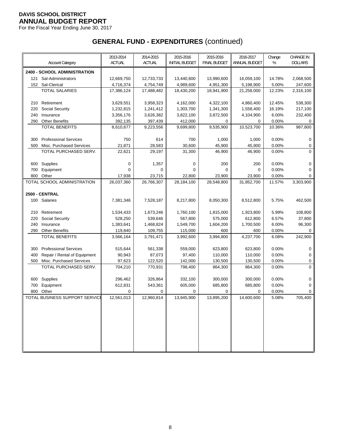For the Fiscal Year Ending June 30, 2017

|            |                                | 2013-2014          | 2014-2015          | 2015-2016             | 2015-2016           | 2016-2017          | Change         | <b>CHANGE IN</b> |
|------------|--------------------------------|--------------------|--------------------|-----------------------|---------------------|--------------------|----------------|------------------|
|            | <b>Account Category</b>        | <b>ACTUAL</b>      | <b>ACTUAL</b>      | <b>INITIAL BUDGET</b> | <b>FINAL BUDGET</b> | ANNUAL BUDGET      | %              | <b>DOLLARS</b>   |
|            | 2400 - SCHOOL ADMINISTRATION   |                    |                    |                       |                     |                    |                |                  |
| 121        | Sal-Administrators             | 12,669,750         | 12,733,733         | 13,440,600            | 13,990,600          | 16,059,100         | 14.78%         | 2,068,500        |
|            | 152 Sal-Clerical               | 4,716,374          | 4,754,749          | 4,989,600             | 4,951,300           | 5,198,900          | 5.00%          | 247,600          |
|            | <b>TOTAL SALARIES</b>          | 17,386,124         | 17,488,482         | 18,430,200            | 18,941,900          | 21,258,000         | 12.23%         | 2,316,100        |
|            |                                |                    |                    |                       |                     |                    |                |                  |
| 210        | Retirement                     | 3,629,551          | 3,958,323          | 4,162,000             | 4,322,100           | 4,860,400          | 12.45%         | 538,300          |
| 220        | <b>Social Security</b>         | 1,232,815          | 1,241,412          | 1,303,700             | 1,341,300           | 1,558,400          | 16.19%         | 217,100          |
| 240        | Insurance                      | 3,356,176          | 3,626,382          | 3,822,100             | 3,872,500           | 4,104,900          | 6.00%          | 232,400          |
| 290        | <b>Other Benefits</b>          | 392,135            | 397,439            | 412,000               | 0                   | 0                  | 0.00%          | 0                |
|            | <b>TOTAL BENEFITS</b>          | 8,610,677          | 9,223,556          | 9,699,800             | 9,535,900           | 10,523,700         | 10.36%         | 987,800          |
| 300        | <b>Professional Services</b>   | 750                | 614                | 700                   | 1,000               | 1,000              | 0.00%          | 0                |
| 500        | Misc. Purchased Services       | 21,871             | 28,583             | 30,600                | 45,900              | 45,900             | 0.00%          | 0                |
|            | TOTAL PURCHASED SERV.          | 22,621             | 29,197             | 31,300                | 46,900              | 46,900             | 0.00%          | 0                |
|            |                                |                    |                    |                       |                     |                    |                |                  |
|            | 600 Supplies                   | 0                  | 1,357              | 0                     | 200                 | 200                | 0.00%          | $\mathbf 0$      |
| 700        | Equipment                      | 0                  | 0                  | 0                     | 0                   | 0                  | 0.00%          | 0                |
| 800        | Other                          | 17,938             | 23,715             | 22,800                | 23,900              | 23,900             | 0.00%          | 0                |
|            | TOTAL SCHOOL ADMINISTRATION    | 26,037,360         | 26,766,307         | 28,184,100            | 28,548,800          | 31,852,700         | 11.57%         | 3,303,900        |
|            |                                |                    |                    |                       |                     |                    |                |                  |
|            | 2500 - CENTRAL                 |                    |                    |                       |                     |                    |                |                  |
|            | 100 Salaries                   | 7,381,346          | 7,528,187          | 8,217,800             | 8,050,300           | 8,512,800          | 5.75%          | 462,500          |
| 210        | Retirement                     | 1,534,433          | 1,673,246          | 1,760,100             | 1,815,000           | 1,923,800          | 5.99%          | 108,800          |
| 220        | <b>Social Security</b>         | 528,250            | 539,646            | 567,800               | 575,000             | 612,800            | 6.57%          | 37,800           |
| 240        | Insurance                      | 1,383,641          | 1,468,824          | 1,549,700             | 1,604,200           | 1,700,500          | 6.00%          | 96,300           |
| 290        | <b>Other Benefits</b>          | 119,840            | 109,755            | 115,000               | 600                 | 600                | 0.00%          | 0                |
|            | <b>TOTAL BENEFITS</b>          | 3,566,164          | 3,791,471          | 3,992,600             | 3,994,800           | 4,237,700          | 6.08%          | 242,900          |
|            |                                |                    |                    |                       |                     |                    |                |                  |
| 300        | <b>Professional Services</b>   | 515,644            | 561,338            | 559,000               | 623,800             | 623,800            | 0.00%          | 0                |
| 400        | Repair / Rental of Equipment   | 90,943             | 87,073             | 97,400                | 110,000             | 110,000            | 0.00%          | 0                |
| 500        | Misc. Purchased Services       | 97,623             | 122,520            | 142,000               | 130,500             | 130,500            | 0.00%          | 0                |
|            | TOTAL PURCHASED SERV.          | 704,210            | 770,931            | 798,400               | 864,300             | 864,300            | 0.00%          | $\overline{0}$   |
|            |                                |                    |                    |                       |                     |                    |                |                  |
| 600<br>700 | Supplies<br>Equipment          | 296,462<br>612,831 | 326,864<br>543,361 | 332,100<br>605,000    | 300,000<br>685,800  | 300,000<br>685,800 | 0.00%<br>0.00% | 0<br>0           |
| 800        | Other                          | 0                  | 0                  | 0                     | 0                   | 0                  | 0.00%          | 0                |
|            | TOTAL BUSINESS SUPPORT SERVICE | 12,561,013         | 12,960,814         | 13,945,900            | 13,895,200          | 14,600,600         | 5.08%          | 705,400          |
|            |                                |                    |                    |                       |                     |                    |                |                  |
|            |                                |                    |                    |                       |                     |                    |                |                  |
|            |                                |                    |                    |                       |                     |                    |                |                  |
|            |                                |                    |                    |                       |                     |                    |                |                  |
|            |                                |                    |                    |                       |                     |                    |                |                  |
|            |                                |                    |                    |                       |                     |                    |                |                  |
|            |                                |                    |                    |                       |                     |                    |                |                  |
|            |                                |                    |                    |                       |                     |                    |                |                  |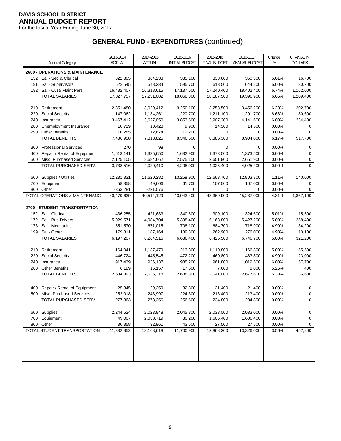For the Fiscal Year Ending June 30, 2017

|     |                                                   | 2013-2014     | 2014-2015     | 2015-2016             | 2015-2016           | 2016-2017     | Change | <b>CHANGE IN</b> |
|-----|---------------------------------------------------|---------------|---------------|-----------------------|---------------------|---------------|--------|------------------|
|     | <b>Account Category</b>                           | <b>ACTUAL</b> | <b>ACTUAL</b> | <b>INITIAL BUDGET</b> | <b>FINAL BUDGET</b> | ANNUAL BUDGET | %      | <b>DOLLARS</b>   |
|     | <b>2600 - OPERATIONS &amp; MAINTENANCE</b>        |               |               |                       |                     |               |        |                  |
|     | 152 Sal - Sec & Clerical                          | 322,805       | 364,233       | 335,100               | 333,600             | 350,300       | 5.01%  | 16,700           |
| 181 | Sal - Supervisors                                 | 522,545       | 548,234       | 595.700               | 613,500             | 644,200       | 5.00%  | 30,700           |
|     | 182 Sal - Cust/ Maint Pers                        | 16,482,407    | 16,318,615    | 17,137,500            | 17,240,400          | 18,402,400    | 6.74%  | 1,162,000        |
|     | <b>TOTAL SALARIES</b>                             | 17,327,757    | 17,231,082    | 18,068,300            | 18,187,500          | 19,396,900    | 6.65%  | 1,209,400        |
|     |                                                   |               |               |                       |                     |               |        |                  |
| 210 | Retirement                                        | 2,851,480     | 3,029,412     | 3,250,100             | 3,253,500           | 3,456,200     | 6.23%  | 202,700          |
| 220 | Social Security                                   | 1,147,062     | 1,134,261     | 1,220,700             | 1,211,100           | 1,291,700     | 6.66%  | 80,600           |
| 240 | Insurance                                         | 3,467,412     | 3,627,050     | 3,853,600             | 3,907,200           | 4,141,600     | 6.00%  | 234,400          |
| 280 | Unemployment Insurance                            | 10,719        | 10,428        | 9,900                 | 14,500              | 14,500        | 0.00%  | 0                |
| 290 | <b>Other Benefits</b>                             | 10,285        | 12,674        | 12,200                | 0                   | 0             | 0.00%  | 0                |
|     | <b>TOTAL BENEFITS</b>                             | 7,486,958     | 7,813,825     | 8,346,500             | 8,386,300           | 8,904,000     | 6.17%  | 517,700          |
|     |                                                   | 270           |               | 0                     | 0                   | 0             | 0.00%  |                  |
| 300 | <b>Professional Services</b>                      |               | 98            |                       |                     |               |        | 0                |
| 400 | Repair / Rental of Equipment                      | 1,613,141     | 1,335,650     | 1,632,900             | 1,373,500           | 1,373,500     | 0.00%  | 0                |
| 500 | Misc. Purchased Services<br>TOTAL PURCHASED SERV. | 2,125,105     | 2,684,662     | 2,575,100             | 2,651,900           | 2,651,900     | 0.00%  | 0<br>$\Omega$    |
|     |                                                   | 3,738,516     | 4,020,410     | 4,208,000             | 4,025,400           | 4,025,400     | 0.00%  |                  |
| 600 | Supplies / Utilities                              | 12,231,331    | 11,620,282    | 13,258,900            | 12,663,700          | 12,803,700    | 1.11%  | 140,000          |
| 700 | Equipment                                         | 58,358        | 49,606        | 61,700                | 107,000             | 107,000       | 0.00%  | $\Omega$         |
| 800 | Other                                             | $-363,281$    | $-221,076$    | 0                     | 0                   | 0             | 0.00%  | 0                |
|     | TOTAL OPERATIONS & MAINTENANC                     | 40,479,639    | 40,514,129    | 43,943,400            | 43,369,900          | 45,237,000    | 4.31%  | 1,867,100        |
|     |                                                   |               |               |                       |                     |               |        |                  |
|     | <b>2700 - STUDENT TRANSPORTATION</b>              |               |               |                       |                     |               |        |                  |
|     | 152 Sal - Clerical                                | 436,255       | 421,633       | 340,600               | 309,100             | 324,600       | 5.01%  | 15,500           |
| 172 | Sal - Bus Drivers                                 | 5,029,571     | 4,984,704     | 5,398,400             | 5,168,800           | 5,427,200     | 5.00%  | 258,400          |
| 173 | Sal - Mechanics                                   | 551,570       | 671,015       | 708,100               | 684,700             | 718,900       | 4.99%  | 34,200           |
| 199 | Sal - Other                                       | 179,811       | 187,164       | 189,300               | 262,900             | 276,000       | 4.98%  | 13,100           |
|     | <b>TOTAL SALARIES</b>                             | 6,197,207     | 6,264,516     | 6,636,400             | 6,425,500           | 6,746,700     | 5.00%  | 321,200          |
|     |                                                   |               |               |                       |                     |               |        |                  |
| 210 | Retirement                                        | 1,164,041     | 1,137,479     | 1,213,300             | 1,110,800           | 1,166,300     | 5.00%  | 55,500           |
| 220 | <b>Social Security</b>                            | 446,724       | 445,545       | 472,200               | 460,800             | 483,800       | 4.99%  | 23,000           |
| 240 | Insurance                                         | 917,439       | 936,137       | 985,200               | 961,800             | 1,019,500     | 6.00%  | 57,700           |
| 280 | <b>Other Benefits</b>                             | 6,189         | 16,157        | 17,600                | 7,600               | 8,000         | 5.26%  | 400              |
|     | <b>TOTAL BENEFITS</b>                             | 2,534,393     | 2,535,318     | 2,688,300             | 2,541,000           | 2,677,600     | 5.38%  | 136,600          |
|     |                                                   |               |               |                       |                     |               |        |                  |
| 400 | Repair / Rental of Equipment                      | 25,345        | 29,259        | 32,300                | 21,400              | 21,400        | 0.00%  | 0                |
| 500 | Misc. Purchased Services                          | 252,018       | 243,997       | 224,300               | 213,400             | 213,400       | 0.00%  | 0                |
|     | TOTAL PURCHASED SERV.                             | 277,363       | 273,256       | 256,600               | 234,800             | 234,800       | 0.00%  | $\mathbf 0$      |
|     |                                                   |               |               |                       |                     |               |        |                  |
| 600 | Supplies                                          | 2,244,524     | 2,023,848     | 2,045,800             | 2,033,000           | 2,033,000     | 0.00%  | 0                |
| 700 | Equipment                                         | 49,007        | 2,038,719     | 30,200                | 1,606,400           | 1,606,400     | 0.00%  | 0                |
|     | 800 Other                                         | 30,358        | 32,961        | 43,600                | 27,500              | 27,500        | 0.00%  | 0                |
|     | TOTAL STUDENT TRANSPORTATION                      | 11,332,852    | 13,168,618    | 11,700,900            | 12,868,200          | 13,326,000    | 3.56%  | 457,800          |
|     |                                                   |               |               |                       |                     |               |        |                  |
|     |                                                   |               |               |                       |                     |               |        |                  |
|     |                                                   |               |               |                       |                     |               |        |                  |
|     |                                                   |               |               |                       |                     |               |        |                  |
|     |                                                   |               |               |                       |                     |               |        |                  |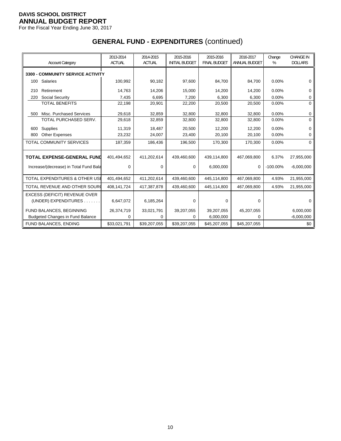For the Fiscal Year Ending June 30, 2017

| <b>Account Category</b>                   | 2013-2014<br><b>ACTUAL</b> | 2014-2015<br><b>ACTUAL</b> | 2015-2016<br><b>INITIAL BUDGET</b> | 2015-2016<br><b>FINAL BUDGET</b> | 2016-2017<br>ANNUAL BUDGET | Change<br>% | <b>CHANGE IN</b><br><b>DOLLARS</b> |
|-------------------------------------------|----------------------------|----------------------------|------------------------------------|----------------------------------|----------------------------|-------------|------------------------------------|
| <b>3300 - COMMUNITY SERVICE ACTIVITY</b>  |                            |                            |                                    |                                  |                            |             |                                    |
| Salaries<br>100                           | 100,992                    | 90,182                     | 97,600                             | 84,700                           | 84,700                     | 0.00%       | $\Omega$                           |
| Retirement<br>210                         | 14,763                     | 14,206                     | 15,000                             | 14,200                           | 14,200                     | 0.00%       | 0                                  |
| Social Security<br>220                    | 7,435                      | 6,695                      | 7,200                              | 6,300                            | 6,300                      | 0.00%       | 0                                  |
| <b>TOTAL BENEFITS</b>                     | 22,198                     | 20,901                     | 22,200                             | 20,500                           | 20,500                     | 0.00%       | 0                                  |
| Misc. Purchased Services<br>500           | 29,618                     | 32,859                     | 32,800                             | 32,800                           | 32,800                     | 0.00%       | 0                                  |
| TOTAL PURCHASED SERV.                     | 29,618                     | 32,859                     | 32,800                             | 32,800                           | 32,800                     | 0.00%       | $\Omega$                           |
| Supplies<br>600                           | 11,319                     | 18,487                     | 20,500                             | 12,200                           | 12,200                     | 0.00%       | $\Omega$                           |
| <b>Other Expenses</b><br>800              | 23,232                     | 24,007                     | 23,400                             | 20,100                           | 20,100                     | 0.00%       | 0                                  |
| <b>TOTAL COMMUNITY SERVICES</b>           | 187,359                    | 186,436                    | 196,500                            | 170,300                          | 170,300                    | 0.00%       | $\Omega$                           |
| <b>TOTAL EXPENSE-GENERAL FUND</b>         | 401,494,652                | 411,202,614                | 439,460,600                        | 439,114,800                      | 467,069,800                | 6.37%       | 27,955,000                         |
| Increase/(decrease) in Total Fund Bala    | $\Omega$                   | $\Omega$                   | 0                                  | 6,000,000                        | $\mathbf 0$                | $-100.00\%$ | $-6,000,000$                       |
| <b>TOTAL EXPENDITURES &amp; OTHER USE</b> | 401,494,652                | 411,202,614                | 439,460,600                        | 445,114,800                      | 467,069,800                | 4.93%       | 21,955,000                         |
| TOTAL REVENUE AND OTHER SOUR              | 408,141,724                | 417,387,878                | 439,460,600                        | 445,114,800                      | 467,069,800                | 4.93%       | 21,955,000                         |
| EXCESS (DEFICIT) REVENUE OVER             |                            |                            |                                    |                                  |                            |             |                                    |
| (UNDER) EXPENDITURES.                     | 6,647,072                  | 6,185,264                  | 0                                  | 0                                | 0                          |             | ∩                                  |
| FUND BALANCES, BEGINNING                  | 26,374,719                 | 33,021,791                 | 39,207,055                         | 39,207,055                       | 45,207,055                 |             | 6,000,000                          |
| <b>Budgeted Changes in Fund Balance</b>   | 0                          | 0                          | 0                                  | 6,000,000                        | 0                          |             | $-6,000,000$                       |
| FUND BALANCES, ENDING                     | \$33,021,791               | \$39,207,055               | \$39,207,055                       | \$45,207,055                     | \$45,207,055               |             | \$0                                |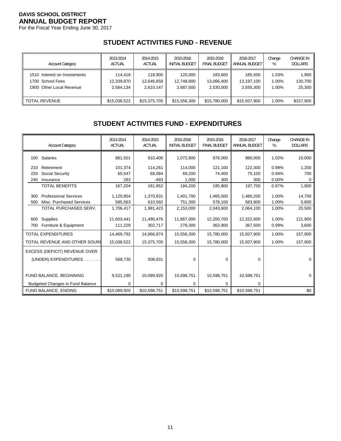For the Fiscal Year Ending June 30, 2017

# **STUDENT ACTIVITIES FUND - REVENUE**

| <b>Account Category</b>      | 2013-2014     | 2014-2015     | 2015-2016             | 2015-2016    | 2016-2017            | Change | <b>CHANGE IN</b> |
|------------------------------|---------------|---------------|-----------------------|--------------|----------------------|--------|------------------|
|                              | <b>ACTUAL</b> | <b>ACTUAL</b> | <b>INITIAL BUDGET</b> | FINAL BUDGET | <b>ANNUAL BUDGET</b> | %      | <b>DOLLARS</b>   |
| 1510 Interest on Investments | 114.418       | 118.900       | 120.000               | 183.600      | 185.500              | 1.03%  | 1,900            |
| 1700 School Fees             | 12,339,970    | 12.646.658    | 12.748.800            | 13.066.400   | 13.197.100           | 1.00%  | 130,700          |
| 1900 Other Local Revenue     | 2.584.134     | 2,610,147     | 2,687,500             | 2.530.000    | 2,555,300            | 1.00%  | 25,300           |
| II TOTAL REVENUE             | \$15,038,522  | \$15,375,705  | \$15,556,300          | \$15,780,000 | \$15,937,900         | 1.00%  | \$157,900        |

# **STUDENT ACTIVITIES FUND - EXPENDITURES**

|     | <b>Account Category</b>                 | 2013-2014<br><b>ACTUAL</b> | 2014-2015<br><b>ACTUAL</b> | 2015-2016<br><b>INITIAL BUDGET</b> | 2015-2016<br><b>FINAL BUDGET</b> | 2016-2017<br><b>ANNUAL BUDGET</b> | Change<br>% | <b>CHANGE IN</b><br><b>DOLLARS</b> |
|-----|-----------------------------------------|----------------------------|----------------------------|------------------------------------|----------------------------------|-----------------------------------|-------------|------------------------------------|
|     | 100 Salaries                            | 881,501                    | 910,406                    | 1,072,800                          | 976,000                          | 986,000                           | 1.02%       | 10,000                             |
| 210 | Retirement                              | 101,374                    | 114,261                    | 114,000                            | 121,100                          | 122,300                           | 0.99%       | 1,200                              |
| 220 | Social Security                         | 65,547                     | 68,084                     | 69,200                             | 74,400                           | 75,100                            | 0.94%       | 700                                |
| 240 | Insurance                               | 283                        | $-493$                     | 1,000                              | 300                              | 300                               | 0.00%       | 0                                  |
|     | <b>TOTAL BENEFITS</b>                   | 167,204                    | 181,852                    | 184,200                            | 195,800                          | 197,700                           | 0.97%       | 1,900                              |
| 300 | <b>Professional Services</b>            | 1,120,854                  | 1,370,831                  | 1,401,700                          | 1,465,500                        | 1,480,200                         | 1.00%       | 14,700                             |
| 500 | Misc. Purchased Services                | 585,563                    | 610,592                    | 751,300                            | 578,100                          | 583,900                           | 1.00%       | 5,800                              |
|     |                                         |                            |                            |                                    |                                  |                                   |             |                                    |
|     | TOTAL PURCHASED SERV.                   | 1,706,417                  | 1,981,423                  | 2,153,000                          | 2,043,600                        | 2,064,100                         | 1.00%       | 20,500                             |
| 600 | Supplies                                | 11,603,441                 | 11,490,476                 | 11,867,000                         | 12,200,700                       | 12,322,600                        | 1.00%       | 121,900                            |
| 700 | Furniture & Equipment                   | 111,229                    | 302,717                    | 279,300                            | 363,900                          | 367,500                           | 0.99%       | 3,600                              |
|     | <b>TOTAL EXPENDITURES</b>               | 14,469,792                 | 14,866,874                 | 15,556,300                         | 15,780,000                       | 15,937,900                        | 1.00%       | 157,900                            |
|     | TOTAL REVENUE AND OTHER SOUR            | 15,038,522                 | 15,375,705                 | 15,556,300                         | 15,780,000                       | 15,937,900                        | 1.00%       | 157,900                            |
|     | EXCESS (DEFICIT) REVENUE OVER           |                            |                            |                                    |                                  |                                   |             |                                    |
|     | (UNDER) EXPENDITURES.                   | 568,730                    | 508,831                    | 0                                  | 0                                | 0                                 |             | 0                                  |
|     |                                         |                            |                            |                                    |                                  |                                   |             |                                    |
|     | FUND BALANCE, BEGINNING                 | 9,521,190                  | 10,089,920                 | 10,598,751                         | 10,598,751                       | 10,598,751                        |             | $\Omega$                           |
|     | <b>Budgeted Changes in Fund Balance</b> | 0                          | 0                          | 0                                  | 0                                | 0                                 |             |                                    |
|     | FUND BALANCE, ENDING                    | \$10,089,920               | \$10,598,751               | \$10,598,751                       | \$10,598,751                     | \$10,598,751                      |             | \$0                                |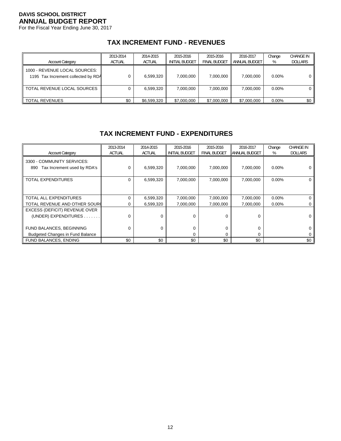For the Fiscal Year Ending June 30, 2017

# **TAX INCREMENT FUND - REVENUES**

| <b>Account Category</b>                                              | 2013-2014<br><b>ACTUAL</b> | 2014-2015<br><b>ACTUAL</b> | 2015-2016<br>INITIAL BUDGET | 2015-2016<br><b>FINAL BUDGET</b> | 2016-2017<br>ANNUAL BUDGET | Change<br>% | <b>CHANGE IN</b><br><b>DOLLARS</b> |
|----------------------------------------------------------------------|----------------------------|----------------------------|-----------------------------|----------------------------------|----------------------------|-------------|------------------------------------|
| 1000 - REVENUE LOCAL SOURCES:<br>1195 Tax Increment collected by RDA |                            | 6,599,320                  | 7,000,000                   | 7,000,000                        | 7.000.000                  | $0.00\%$    | 0'                                 |
| TOTAL REVENUE LOCAL SOURCES                                          |                            | 6,599,320                  | 7.000.000                   | 7,000,000                        | 7.000.000                  | $0.00\%$    | $0^{\circ}$                        |
| TOTAL REVENUES                                                       | \$0                        | \$6,599,320                | \$7,000,000                 | \$7,000,000                      | \$7,000,000                | $0.00\%$    | \$0                                |

#### **TAX INCREMENT FUND - EXPENDITURES**

| <b>Account Category</b>                                          | 2013-2014<br><b>ACTUAL</b> | 2014-2015<br><b>ACTUAL</b> | 2015-2016<br><b>INITIAL BUDGET</b> | 2015-2016<br><b>FINAL BUDGET</b> | 2016-2017<br><b>ANNUAL BUDGET</b> | Change<br>% | <b>CHANGE IN</b><br><b>DOLLARS</b> |
|------------------------------------------------------------------|----------------------------|----------------------------|------------------------------------|----------------------------------|-----------------------------------|-------------|------------------------------------|
| 3300 - COMMUNITY SERVICES:<br>Tax Increment used by RDA's<br>890 |                            | 6,599,320                  | 7,000,000                          | 7,000,000                        | 7,000,000                         | $0.00\%$    |                                    |
| TOTAL EXPENDITURES                                               | $\Omega$                   | 6,599,320                  | 7,000,000                          | 7,000,000                        | 7,000,000                         | $0.00\%$    | 0                                  |
| TOTAL ALL EXPENDITURES                                           |                            | 6,599,320                  | 7,000,000                          | 7,000,000                        | 7,000,000                         | $0.00\%$    | 0                                  |
| TOTAL REVENUE AND OTHER SOUR(                                    |                            | 6,599,320                  | 7,000,000                          | 7,000,000                        | 7,000,000                         | $0.00\%$    | 0                                  |
| EXCESS (DEFICIT) REVENUE OVER                                    |                            |                            |                                    |                                  |                                   |             |                                    |
| (UNDER) EXPENDITURES                                             |                            | U                          | 0                                  | $\Omega$                         | 0                                 |             | 0                                  |
| FUND BALANCES, BEGINNING                                         |                            | 0                          |                                    | $\mathbf 0$                      | 0                                 |             | 0                                  |
| <b>Budgeted Changes in Fund Balance</b>                          |                            |                            | 0                                  | $\Omega$                         | 0                                 |             | 0                                  |
| FUND BALANCES, ENDING                                            | \$0                        | \$0                        | \$0                                | \$0                              | \$0                               |             | \$0                                |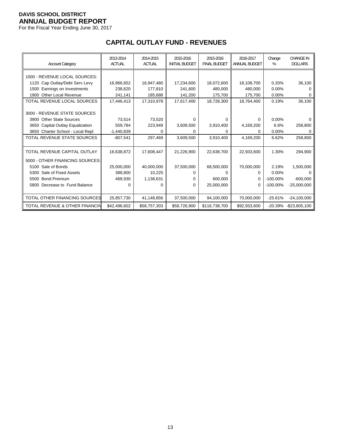For the Fiscal Year Ending June 30, 2017

# **CAPITAL OUTLAY FUND - REVENUES**

| <b>Account Category</b>                   | 2013-2014<br><b>ACTUAL</b> | 2014-2015<br><b>ACTUAL</b> | 2015-2016<br><b>INITIAL BUDGET</b> | 2015-2016<br><b>FINAL BUDGET</b> | 2016-2017<br><b>ANNUAL BUDGET</b> | Change<br>% | <b>CHANGE IN</b><br><b>DOLLARS</b> |
|-------------------------------------------|----------------------------|----------------------------|------------------------------------|----------------------------------|-----------------------------------|-------------|------------------------------------|
| 1000 - REVENUE LOCAL SOURCES:             |                            |                            |                                    |                                  |                                   |             |                                    |
| 1120 Cap Outlay/Debt Serv Levy            | 16,966,652                 | 16,947,480                 | 17,234,600                         | 18,072,600                       | 18,108,700                        | 0.20%       | 36,100                             |
| 1500 Earnings on Investments              | 238.620                    | 177.810                    | 241.600                            | 480.000                          | 480.000                           | 0.00%       |                                    |
| Other Local Revenue<br>1900               | 241,141                    | 185,688                    | 141,200                            | 175,700                          | 175,700                           | 0.00%       |                                    |
| TOTAL REVENUE LOCAL SOURCES               | 17,446,413                 | 17,310,978                 | 17,617,400                         | 18,728,300                       | 18,764,400                        | 0.19%       | 36,100                             |
|                                           |                            |                            |                                    |                                  |                                   |             |                                    |
| 3000 - REVENUE STATE SOURCES              |                            |                            |                                    |                                  |                                   |             |                                    |
| 3900 Other State Sources                  | 73.514                     | 73,520                     | $\Omega$                           | 0                                | 0                                 | 0.00%       |                                    |
| 3650 Capital Outlay Equalization          | 559,784                    | 223,949                    | 3,609,500                          | 3,910,400                        | 4,169,200                         | 6.6%        | 258,800                            |
| 3650 Charter School - Local Repl          | $-1,440,839$               | U                          | 0                                  | 0                                | <sup>0</sup>                      | 0.00%       |                                    |
| TOTAL REVENUE STATE SOURCES               | $-807,541$                 | 297,469                    | 3,609,500                          | 3,910,400                        | 4,169,200                         | 6.62%       | 258,800                            |
|                                           |                            |                            |                                    |                                  |                                   |             |                                    |
| TOTAL REVENUE CAPITAL OUTLAY              | 16,638,872                 | 17,608,447                 | 21,226,900                         | 22,638,700                       | 22,933,600                        | 1.30%       | 294,900                            |
| 5000 - OTHER FINANCING SOURCES:           |                            |                            |                                    |                                  |                                   |             |                                    |
| 5100 Sale of Bonds                        | 25,000,000                 | 40,000,000                 | 37,500,000                         | 68,500,000                       | 70,000,000                        | 2.19%       | 1,500,000                          |
| Sale of Fixed Assets<br>5300              | 388,800                    | 10,225                     | 0                                  | 0                                | <sup>0</sup>                      | $0.00\%$    |                                    |
| 5500 Bond Premium                         | 468,930                    | 1,138,631                  | 0                                  | 600.000                          | 0                                 | $-100.00\%$ | $-600,000$                         |
| 5800 Decrease to Fund Balance             | O                          | 0                          | 0                                  | 25,000,000                       | 0                                 | $-100.00\%$ | $-25,000,000$                      |
|                                           |                            |                            |                                    |                                  |                                   |             |                                    |
| TOTAL OTHER FINANCING SOURCES             | 25,857,730                 | 41,148,856                 | 37,500,000                         | 94,100,000                       | 70,000,000                        | $-25.61%$   | $-24,100,000$                      |
| <b>TOTAL REVENUE &amp; OTHER FINANCIN</b> | \$42.496.602               | \$58,757,303               | \$58,726,900                       | \$116.738.700                    | \$92.933.600                      | -20.39%     | $-$ \$23,805,100                   |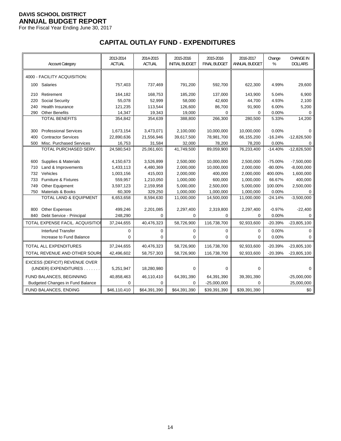For the Fiscal Year Ending June 30, 2017

# **CAPITAL OUTLAY FUND - EXPENDITURES**

|     | <b>Account Category</b>                 | 2013-2014<br><b>ACTUAL</b> | 2014-2015<br><b>ACTUAL</b> | 2015-2016<br><b>INITIAL BUDGET</b> | 2015-2016<br><b>FINAL BUDGET</b> | 2016-2017<br>ANNUAL BUDGET | Change<br>$\%$ | <b>CHANGE IN</b><br><b>DOLLARS</b> |
|-----|-----------------------------------------|----------------------------|----------------------------|------------------------------------|----------------------------------|----------------------------|----------------|------------------------------------|
|     | 4000 - FACILITY ACQUISITION:            |                            |                            |                                    |                                  |                            |                |                                    |
| 100 | Salaries                                | 757,403                    | 737,469                    | 791,200                            | 592,700                          | 622,300                    | 4.99%          | 29,600                             |
| 210 | Retirement                              | 164,182                    | 168,753                    | 185,200                            | 137,000                          | 143,900                    | 5.04%          | 6,900                              |
| 220 | Social Security                         | 55,078                     | 52,999                     | 58,000                             | 42,600                           | 44,700                     | 4.93%          | 2,100                              |
| 240 | Health Insurance                        | 121,235                    | 113,544                    | 126,600                            | 86,700                           | 91,900                     | 6.00%          | 5,200                              |
| 290 | <b>Other Benefits</b>                   | 14,347                     | 19,343                     | 19,000                             | $\mathbf 0$                      | 0                          | 0.00%          | $\Omega$                           |
|     | <b>TOTAL BENEFITS</b>                   | 354,842                    | 354,639                    | 388,800                            | 266,300                          | 280,500                    | 5.33%          | 14,200                             |
|     |                                         |                            |                            |                                    |                                  |                            |                |                                    |
| 300 | <b>Professional Services</b>            | 1,673,154                  | 3,473,071                  | 2,100,000                          | 10,000,000                       | 10,000,000                 | 0.00%          | $\Omega$                           |
| 400 | <b>Contractor Services</b>              | 22,890,636                 | 21,556,946                 | 39,617,500                         | 78,981,700                       | 66,155,200                 | $-16.24%$      | $-12,826,500$                      |
| 500 | Misc. Purchased Services                | 16,753                     | 31,584                     | 32,000                             | 78,200                           | 78,200                     | 0.00%          | 0                                  |
|     | TOTAL PURCHASED SERV.                   | 24,580,543                 | 25,061,601                 | 41,749,500                         | 89,059,900                       | 76,233,400                 | $-14.40%$      | $-12,826,500$                      |
|     |                                         |                            |                            |                                    |                                  |                            |                |                                    |
| 600 | Supplies & Materials                    | 4,150,673                  | 3,526,899                  | 2,500,000                          | 10,000,000                       | 2,500,000                  | $-75.00%$      | $-7,500,000$                       |
| 710 | Land & Improvements                     | 1,433,113                  | 4,480,369                  | 2,000,000                          | 10,000,000                       | 2,000,000                  | $-80.00%$      | $-8,000,000$                       |
| 732 | Vehicles                                | 1,003,156                  | 415,003                    | 2,000,000                          | 400,000                          | 2,000,000                  | 400.00%        | 1,600,000                          |
| 733 | <b>Furniture &amp; Fixtures</b>         | 559,957                    | 1,210,050                  | 1,000,000                          | 600,000                          | 1,000,000                  | 66.67%         | 400,000                            |
| 749 | Other Equipment                         | 3,597,123                  | 2,159,958                  | 5,000,000                          | 2,500,000                        | 5,000,000                  | 100.00%        | 2,500,000                          |
| 750 | Materials & Books                       | 60,309                     | 329,250                    | 1,000,000                          | 1,000,000                        | 1,000,000                  | 0.00%          | 0                                  |
|     | <b>TOTAL LAND &amp; EQUIPMENT</b>       | 6,653,658                  | 8,594,630                  | 11,000,000                         | 14,500,000                       | 11,000,000                 | $-24.14%$      | $-3,500,000$                       |
| 800 | <b>Other Expenses</b>                   | 499,246                    | 2,201,085                  | 2,297,400                          | 2,319,800                        | 2,297,400                  | $-0.97%$       | $-22,400$                          |
| 840 | Debt Service - Principal                | 248,290                    | $\Omega$                   | $\Omega$                           | $\Omega$                         | $\Omega$                   | 0.00%          | $\Omega$                           |
|     | TOTAL EXPENSE FACIL. ACQUISITION        | 37,244,655                 | 40,476,323                 | 58,726,900                         | 116,738,700                      | 92,933,600                 | $-20.39%$      | $-23,805,100$                      |
|     | <b>Interfund Transfer</b>               | 0                          | $\pmb{0}$                  | 0                                  | 0                                | 0                          | 0.00%          | $\mathbf 0$                        |
|     | Increase to Fund Balance                | 0                          | $\Omega$                   | 0                                  | $\mathbf 0$                      | $\Omega$                   | 0.00%          | $\Omega$                           |
|     | TOTAL ALL EXPENDITURES                  | 37,244,655                 | 40,476,323                 | 58,726,900                         | 116,738,700                      | 92,933,600                 | $-20.39%$      | $-23,805,100$                      |
|     |                                         |                            |                            |                                    |                                  |                            |                |                                    |
|     | TOTAL REVENUE AND OTHER SOUR            | 42,496,602                 | 58,757,303                 | 58,726,900                         | 116,738,700                      | 92,933,600                 | $-20.39%$      | $-23,805,100$                      |
|     | <b>EXCESS (DEFICIT) REVENUE OVER</b>    |                            |                            |                                    |                                  |                            |                |                                    |
|     | (UNDER) EXPENDITURES                    | 5,251,947                  | 18,280,980                 | 0                                  | 0                                | 0                          |                | $\Omega$                           |
|     | FUND BALANCES, BEGINNING                | 40,858,463                 | 46,110,410                 | 64,391,390                         | 64,391,390                       | 39,391,390                 |                | $-25,000,000$                      |
|     | <b>Budgeted Changes in Fund Balance</b> | 0                          | $\Omega$                   | 0                                  | $-25,000,000$                    | $\Omega$                   |                | 25,000,000                         |
|     | FUND BALANCES, ENDING                   | \$46,110,410               | \$64,391,390               | \$64,391,390                       | \$39,391,390                     | \$39,391,390               |                | \$0                                |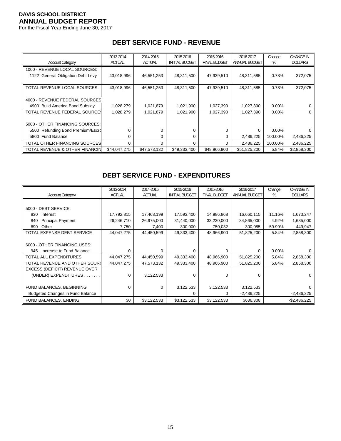For the Fiscal Year Ending June 30, 2017

# **DEBT SERVICE FUND - REVENUE**

| <b>Account Category</b>           | 2013-2014<br><b>ACTUAL</b> | 2014-2015<br><b>ACTUAL</b> | 2015-2016<br><b>INITIAL BUDGET</b> | 2015-2016<br><b>FINAL BUDGET</b> | 2016-2017<br>ANNUAL BUDGET | Change<br>% | <b>CHANGE IN</b><br><b>DOLLARS</b> |
|-----------------------------------|----------------------------|----------------------------|------------------------------------|----------------------------------|----------------------------|-------------|------------------------------------|
|                                   |                            |                            |                                    |                                  |                            |             |                                    |
| 1000 - REVENUE LOCAL SOURCES:     |                            |                            |                                    |                                  |                            |             |                                    |
| 1122 General Obligation Debt Levy | 43,018,996                 | 46,551,253                 | 48,311,500                         | 47,939,510                       | 48,311,585                 | 0.78%       | 372,075                            |
|                                   |                            |                            |                                    |                                  |                            |             |                                    |
| TOTAL REVENUE LOCAL SOURCES       | 43,018,996                 | 46,551,253                 | 48,311,500                         | 47,939,510                       | 48,311,585                 | 0.78%       | 372,075                            |
|                                   |                            |                            |                                    |                                  |                            |             |                                    |
| 4000 - REVENUE FEDERAL SOURCES    |                            |                            |                                    |                                  |                            |             |                                    |
| 4900 Build America Bond Subsidy   | 1,028,279                  | 1,021,879                  | 1,021,900                          | 1,027,390                        | 1,027,390                  | $0.00\%$    |                                    |
| TOTAL REVENUE FEDERAL SOURCE:     | 1,028,279                  | 1,021,879                  | 1,021,900                          | 1,027,390                        | 1,027,390                  | $0.00\%$    | 0                                  |
|                                   |                            |                            |                                    |                                  |                            |             |                                    |
| 5000 - OTHER FINANCING SOURCES:   |                            |                            |                                    |                                  |                            |             |                                    |
| 5500 Refunding Bond Premium/Escro | ∩                          |                            |                                    | 0                                | $\Omega$                   | $0.00\%$    |                                    |
| 5800 Fund Balance                 | ∩                          | 0                          |                                    | 0                                | 2,486,225                  | 100.00%     | 2,486,225                          |
| TOTAL OTHER FINANCING SOURCES     | $\Omega$                   | 0                          | $\Omega$                           | $\Omega$                         | 2,486,225                  | 100.00%     | 2,486,225                          |
| TOTAL REVENUE & OTHER FINANCIN    | \$44,047,275               | \$47,573,132               | \$49,333,400                       | \$48,966,900                     | \$51,825,200               | 5.84%       | \$2,858,300                        |

## **DEBT SERVICE FUND - EXPENDITURES**

| <b>Account Category</b>                 | 2013-2014<br><b>ACTUAL</b> | 2014-2015<br><b>ACTUAL</b> | 2015-2016<br><b>INITIAL BUDGET</b> | 2015-2016<br><b>FINAL BUDGET</b> | 2016-2017<br>ANNUAL BUDGET | Change<br>% | <b>CHANGE IN</b><br><b>DOLLARS</b> |
|-----------------------------------------|----------------------------|----------------------------|------------------------------------|----------------------------------|----------------------------|-------------|------------------------------------|
|                                         |                            |                            |                                    |                                  |                            |             |                                    |
|                                         |                            |                            |                                    |                                  |                            |             |                                    |
| 5000 - DEBT SERVICE:                    |                            |                            |                                    |                                  |                            |             |                                    |
| 830<br>Interest                         | 17,792,815                 | 17,468,199                 | 17,593,400                         | 14,986,868                       | 16,660,115                 | 11.16%      | 1,673,247                          |
| <b>Principal Payment</b><br>840         | 26,246,710                 | 26,975,000                 | 31,440,000                         | 33,230,000                       | 34,865,000                 | 4.92%       | 1,635,000                          |
| Other<br>890                            | 7,750                      | 7,400                      | 300,000                            | 750,032                          | 300,085                    | $-59.99%$   | $-449,947$                         |
| TOTAL EXPENSE DEBT SERVICE              | 44,047,275                 | 44,450,599                 | 49,333,400                         | 48,966,900                       | 51,825,200                 | 5.84%       | 2,858,300                          |
|                                         |                            |                            |                                    |                                  |                            |             |                                    |
| 6000 - OTHER FINANCING USES:            |                            |                            |                                    |                                  |                            |             |                                    |
| Increase to Fund Balance<br>945         | $\Omega$                   | 0                          | 0                                  | $\Omega$                         | $\Omega$                   | 0.00%       |                                    |
| <b>TOTAL ALL EXPENDITURES</b>           | 44,047,275                 | 44,450,599                 | 49,333,400                         | 48,966,900                       | 51,825,200                 | 5.84%       | 2,858,300                          |
| TOTAL REVENUE AND OTHER SOURC           | 44,047,275                 | 47,573,132                 | 49,333,400                         | 48,966,900                       | 51,825,200                 | 5.84%       | 2,858,300                          |
| EXCESS (DEFICIT) REVENUE OVER           |                            |                            |                                    |                                  |                            |             |                                    |
| (UNDER) EXPENDITURES.                   | $\Omega$                   | 3,122,533                  | 0                                  | $\Omega$                         | 0                          |             |                                    |
|                                         |                            |                            |                                    |                                  |                            |             |                                    |
| FUND BALANCES, BEGINNING                | $\Omega$                   | 0                          | 3,122,533                          | 3,122,533                        | 3,122,533                  |             |                                    |
| <b>Budgeted Changes in Fund Balance</b> |                            |                            |                                    | 0                                | $-2,486,225$               |             | $-2,486,225$                       |
| FUND BALANCES, ENDING                   | \$0                        | \$3,122,533                | \$3,122,533                        | \$3,122,533                      | \$636,308                  |             | $-$2,486,225$                      |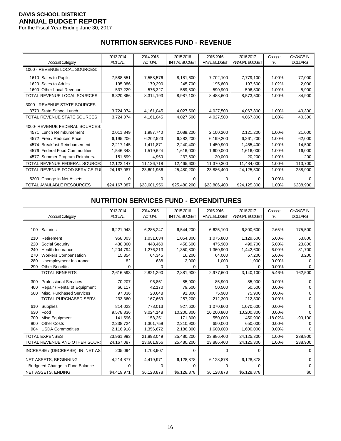For the Fiscal Year Ending June 30, 2017

# **NUTRITION SERVICES FUND - REVENUE**

|                                      | 2013-2014     | 2014-2015     | 2015-2016             | 2015-2016           | 2016-2017     | Change   | <b>CHANGE IN</b> |
|--------------------------------------|---------------|---------------|-----------------------|---------------------|---------------|----------|------------------|
| <b>Account Category</b>              | <b>ACTUAL</b> | <b>ACTUAL</b> | <b>INITIAL BUDGET</b> | <b>FINAL BUDGET</b> | ANNUAL BUDGET | %        | <b>DOLLARS</b>   |
| 1000 - REVENUE LOCAL SOURCES:        |               |               |                       |                     |               |          |                  |
| 1610 Sales to Pupils                 | 7,588,551     | 7,558,576     | 8,181,600             | 7,702,100           | 7,779,100     | 1.00%    | 77,000           |
| Sales to Adults<br>1620              | 195,086       | 179,290       | 245,700               | 195,600             | 197,600       | 1.02%    | 2,000            |
| 1690 Other Local Revenue             | 537,229       | 576,327       | 559,800               | 590,900             | 596,800       | 1.00%    | 5,900            |
| TOTAL REVENUE LOCAL SOURCES          | 8,320,866     | 8,314,193     | 8,987,100             | 8,488,600           | 8,573,500     | 1.00%    | 84,900           |
| 3000 - REVENUE STATE SOURCES         |               |               |                       |                     |               |          |                  |
| 3770 State School Lunch              | 3,724,074     | 4,161,045     | 4,027,500             | 4,027,500           | 4,067,800     | 1.00%    | 40,300           |
| TOTAL REVENUE STATE SOURCES          | 3,724,074     | 4,161,045     | 4,027,500             | 4,027,500           | 4,067,800     | 1.00%    | 40,300           |
| 4000- REVENUE FEDERAL SOURCES:       |               |               |                       |                     |               |          |                  |
| Lunch Reimbursement<br>4571          | 2,011,849     | 1,987,740     | 2,089,200             | 2,100,200           | 2,121,200     | 1.00%    | 21,000           |
| 4572 Free / Reduced Price            | 6,195,206     | 6,202,523     | 6,282,200             | 6,199,200           | 6,261,200     | 1.00%    | 62,000           |
| 4574 Breakfast Reimbursement         | 2,217,145     | 1,411,871     | 2,240,400             | 1,450,900           | 1,465,400     | 1.00%    | 14,500           |
| 4576 Federal Food Commodities        | 1,546,348     | 1,519,624     | 1,616,000             | 1,600,000           | 1,616,000     | 1.00%    | 16,000           |
| Summer Program Reimburs.<br>4577     | 151,599       | 4,960         | 237,800               | 20,000              | 20,200        | 1.00%    | 200              |
| <b>TOTAL REVENUE FEDERAL SOURCE:</b> | 12,122,147    | 11,126,718    | 12,465,600            | 11,370,300          | 11,484,000    | 1.00%    | 113,700          |
| TOTAL REVENUE FOOD SERVICE FUI       | 24,167,087    | 23,601,956    | 25,480,200            | 23,886,400          | 24,125,300    | 1.00%    | 238,900          |
| 5200 Change in Net Assets            | 0             | 0             | 0                     | 0                   | 0             | $0.00\%$ | 0                |
| TOTAL AVAILABLE RESOURCES            | \$24,167,087  | \$23,601,956  | \$25,480,200          | \$23,886,400        | \$24,125,300  | 1.00%    | \$238,900        |

#### **NUTRITION SERVICES FUND - EXPENDITURES**

|     |                                        | 2013-2014     | 2014-2015     | 2015-2016             | 2015-2016           | 2016-2017            | Change    | <b>CHANGE IN</b> |
|-----|----------------------------------------|---------------|---------------|-----------------------|---------------------|----------------------|-----------|------------------|
|     | <b>Account Category</b>                | <b>ACTUAL</b> | <b>ACTUAL</b> | <b>INITIAL BUDGET</b> | <b>FINAL BUDGET</b> | <b>ANNUAL BUDGET</b> | %         | <b>DOLLARS</b>   |
|     |                                        |               |               |                       |                     |                      |           |                  |
| 100 | Salaries                               | 6,221,943     | 6,285,247     | 6,544,200             | 6,625,100           | 6,800,600            | 2.65%     | 175,500          |
| 210 | Retirement                             | 958,003       | 1,031,634     | 1,054,300             | 1,075,800           | 1,129,600            | 5.00%     | 53,800           |
| 220 | Social Security                        | 438,360       | 448,460       | 458,600               | 475.900             | 499,700              | 5.00%     | 23,800           |
| 240 | <b>Health Insurance</b>                | 1,204,794     | 1,276,213     | 1,350,800             | 1,360,900           | 1,442,600            | 6.00%     | 81,700           |
| 270 | <b>Workers Compensation</b>            | 15,354        | 64,345        | 16,200                | 64,000              | 67,200               | 5.00%     | 3,200            |
| 280 | Unemployment Insurance                 | 82            | 638           | 2,000                 | 1,000               | 1,000                | 0.00%     |                  |
| 290 | <b>Other Benefits</b>                  | $\Omega$      | 0             | 0                     | $\Omega$            | 0                    | 0.00%     | 0                |
|     | <b>TOTAL BENEFITS</b>                  | 2,616,593     | 2,821,290     | 2,881,900             | 2,977,600           | 3,140,100            | 5.46%     | 162,500          |
| 300 | <b>Professional Services</b>           | 70,207        | 96,851        | 85,900                | 85,900              | 85,900               | 0.00%     | 0                |
| 400 | Repair / Rental of Equipment           | 66,117        | 42,170        | 79,500                | 50,500              | 50,500               | 0.00%     |                  |
| 500 | Misc. Purchased Services               | 97,036        | 28,648        | 91,800                | 75,900              | 75,900               | 0.00%     | 0                |
|     | TOTAL PURCHASED SERV.                  | 233,360       | 167,669       | 257,200               | 212,300             | 212,300              | 0.00%     | $\Omega$         |
| 610 | Supplies                               | 814,023       | 778,013       | 927,600               | 1,070,600           | 1,070,600            | 0.00%     | 0                |
| 630 | Food                                   | 9,578,836     | 9,024,148     | 10,200,800            | 10,200,800          | 10,200,800           | 0.00%     | U                |
| 700 | Misc Equipment                         | 141.596       | 158,251       | 171.300               | 550.000             | 450.900              | $-18.02%$ | $-99,100$        |
| 800 | <b>Other Costs</b>                     | 2,238,724     | 1,301,759     | 2,310,900             | 650,000             | 650,000              | 0.00%     |                  |
| 904 | <b>USDA Commodities</b>                | 2,116,918     | 1,356,672     | 2,186,300             | 1,600,000           | 1,600,000            | 0.00%     | 0                |
|     | <b>TOTAL EXPENSES</b>                  | 23,961,993    | 21,893,049    | 25,480,200            | 23,886,400          | 24,125,300           | 1.00%     | 238,900          |
|     | TOTAL REVENUE AND OTHER SOUR           | 24,167,087    | 23,601,956    | 25,480,200            | 23,886,400          | 24,125,300           | 1.00%     | 238,900          |
|     | INCREASE / (DECREASE) IN NET AS        | 205,094       | 1,708,907     | $\Omega$              | 0                   | $\Omega$             |           | 0                |
|     | NET ASSETS, BEGINNING                  | 4,214,877     | 4,419,971     | 6,128,878             | 6,128,878           | 6,128,878            |           | U                |
|     | <b>Budgeted Change in Fund Balance</b> | 0             | U             | 0                     | 0                   | 0                    |           | 0                |
|     | <b>NET ASSETS, ENDING</b>              | \$4,419,971   | \$6,128,878   | \$6,128,878           | \$6,128,878         | \$6,128,878          |           | \$0              |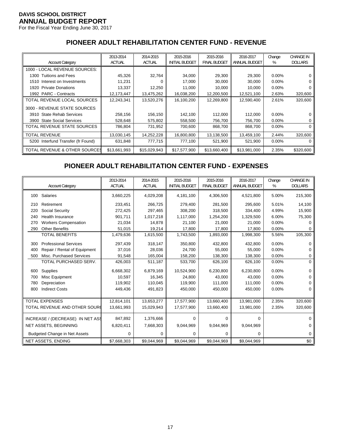For the Fiscal Year Ending June 30, 2017

# **PIONEER ADULT REHABILITATION CENTER FUND - REVENUE**

|                                      | 2013-2014     | 2014-2015     | 2015-2016             | 2015-2016           | 2016-2017     | Change   | <b>CHANGE IN</b> |
|--------------------------------------|---------------|---------------|-----------------------|---------------------|---------------|----------|------------------|
| <b>Account Category</b>              | <b>ACTUAL</b> | <b>ACTUAL</b> | <b>INITIAL BUDGET</b> | <b>FINAL BUDGET</b> | ANNUAL BUDGET | %        | <b>DOLLARS</b>   |
| 1000 - LOCAL REVENUE SOURCES:        |               |               |                       |                     |               |          |                  |
| 1300 Tuitions and Fees               | 45,326        | 32,764        | 34,000                | 29,300              | 29,300        | $0.00\%$ |                  |
| 1510 Interest on Investments         | 11,231        |               | 17,000                | 30,000              | 30,000        | $0.00\%$ |                  |
| 1920 Private Donations               | 13,337        | 12,250        | 11,000                | 10,000              | 10,000        | $0.00\%$ |                  |
| 1992 PARC - Contracts                | 12,173,447    | 13,475,262    | 16,038,200            | 12,200,500          | 12,521,100    | 2.63%    | 320,600          |
| TOTAL REVENUE LOCAL SOURCES          | 12,243,341    | 13,520,276    | 16,100,200            | 12,269,800          | 12,590,400    | 2.61%    | 320,600          |
| 3000 - REVENUE STATE SOURCES         |               |               |                       |                     |               |          |                  |
| 3910 State Rehab Services            | 258,156       | 156,150       | 142,100               | 112,000             | 112,000       | $0.00\%$ |                  |
| <b>State Social Services</b><br>3900 | 528,648       | 575,802       | 558,500               | 756,700             | 756,700       | $0.00\%$ | 0                |
| TOTAL REVENUE STATE SOURCES          | 786,804       | 731,952       | 700.600               | 868,700             | 868.700       | $0.00\%$ | 0                |
| <b>TOTAL REVENUE</b>                 | 13,030,145    | 14,252,228    | 16,800,800            | 13,138,500          | 13,459,100    | 2.44%    | 320,600          |
| 5200 Interfund Transfer (fr Found)   | 631,848       | 777,715       | 777,100               | 521,900             | 521,900       | $0.00\%$ | 0                |
| TOTAL REVENUE & OTHER SOURCES        | \$13,661,993  | \$15,029,943  | \$17,577,900          | \$13,660,400        | \$13,981,000  | 2.35%    | \$320,600        |

#### **PIONEER ADULT REHABILITATION CENTER FUND - EXPENSES**

|     |                                      | 2013-2014     | 2014-2015     | 2015-2016             | 2015-2016           | 2016-2017     | Change | <b>CHANGE IN</b> |
|-----|--------------------------------------|---------------|---------------|-----------------------|---------------------|---------------|--------|------------------|
|     | <b>Account Category</b>              | <b>ACTUAL</b> | <b>ACTUAL</b> | <b>INITIAL BUDGET</b> | <b>FINAL BUDGET</b> | ANNUAL BUDGET | %      | <b>DOLLARS</b>   |
| 100 | Salaries                             | 3,660,225     | 4,029,208     | 4,181,100             | 4,306,500           | 4,521,800     | 5.00%  | 215,300          |
| 210 | Retirement                           | 233,451       | 266,725       | 279,400               | 281,500             | 295,600       | 5.01%  | 14,100           |
| 220 | Social Security                      | 272,425       | 297,465       | 308,200               | 318,500             | 334,400       | 4.99%  | 15,900           |
| 240 | Health Insurance                     | 901,711       | 1,017,218     | 1,117,000             | 1,254,200           | 1,329,500     | 6.00%  | 75,300           |
| 270 | <b>Workers Compensation</b>          | 21,034        | 14,878        | 21,100                | 21,000              | 21,000        | 0.00%  |                  |
| 290 | <b>Other Benefits</b>                | 51,015        | 19,214        | 17,800                | 17,800              | 17,800        | 0.00%  |                  |
|     | <b>TOTAL BENEFITS</b>                | 1,479,636     | 1,615,500     | 1,743,500             | 1,893,000           | 1,998,300     | 5.56%  | 105,300          |
| 300 | <b>Professional Services</b>         | 297,439       | 318,147       | 350,800               | 432,800             | 432,800       | 0.00%  |                  |
| 400 | Repair / Rental of Equipment         | 37,016        | 28,036        | 24,700                | 55,000              | 55,000        | 0.00%  | 0                |
| 500 | Misc. Purchased Services             | 91,548        | 165,004       | 158,200               | 138,300             | 138,300       | 0.00%  | 0                |
|     | TOTAL PURCHASED SERV.                | 426,003       | 511,187       | 533,700               | 626,100             | 626,100       | 0.00%  | $\Omega$         |
| 600 | <b>Supplies</b>                      | 6,668,302     | 6,879,169     | 10,524,900            | 6,230,800           | 6,230,800     | 0.00%  |                  |
| 700 | Misc Equipment                       | 10,597        | 16,345        | 24,800                | 43,000              | 43,000        | 0.00%  | 0                |
| 780 | Depreciation                         | 119,902       | 110,045       | 119.900               | 111.000             | 111,000       | 0.00%  |                  |
| 800 | <b>Indirect Costs</b>                | 449,436       | 491,823       | 450,000               | 450,000             | 450,000       | 0.00%  | 0                |
|     |                                      |               |               |                       |                     |               |        |                  |
|     | <b>TOTAL EXPENSES</b>                | 12,814,101    | 13,653,277    | 17,577,900            | 13,660,400          | 13,981,000    | 2.35%  | 320,600          |
|     | TOTAL REVENUE AND OTHER SOUR         | 13,661,993    | 15,029,943    | 17,577,900            | 13,660,400          | 13,981,000    | 2.35%  | 320,600          |
|     | INCREASE / (DECREASE) IN NET ASS     | 847,892       | 1,376,666     | 0                     | 0                   | 0             |        | ∩                |
|     | NET ASSETS, BEGINNING                | 6,820,411     | 7,668,303     | 9,044,969             | 9,044,969           | 9,044,969     |        | 0                |
|     | <b>Budgeted Change in Net Assets</b> | 0             | 0             | 0                     | 0                   | 0             |        | 0                |
|     | <b>NET ASSETS, ENDING</b>            | \$7,668,303   | \$9,044,969   | \$9,044,969           | \$9,044,969         | \$9,044,969   |        | \$0              |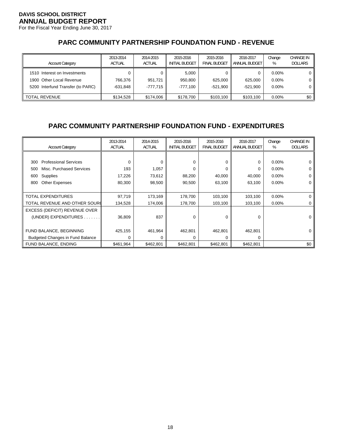For the Fiscal Year Ending June 30, 2017

# **PARC COMMUNITY PARTNERSHIP FOUNDATION FUND - REVENUE**

| <b>Account Category</b>                                                                       | 2013-2014<br><b>ACTUAL</b> | 2014-2015<br><b>ACTUAL</b> | 2015-2016<br><b>INITIAL BUDGET</b> | 2015-2016<br><b>FINAL BUDGET</b> | 2016-2017<br>ANNUAL BUDGET | Change<br>%                      | <b>CHANGE IN</b><br><b>DOLLARS</b> |
|-----------------------------------------------------------------------------------------------|----------------------------|----------------------------|------------------------------------|----------------------------------|----------------------------|----------------------------------|------------------------------------|
| 1510 Interest on Investments<br>1900 Other Local Revenue<br>5200 Interfund Transfer (to PARC) | 766.376<br>-631.848        | 951.721<br>-777.715        | 5.000<br>950.800<br>-777.100       | 625.000<br>$-521.900$            | 625.000<br>$-521.900$      | $0.00\%$<br>$0.00\%$<br>$0.00\%$ |                                    |
| <b>TOTAL REVENUE</b>                                                                          | \$134.528                  | \$174.006                  | \$178.700                          | \$103.100                        | \$103.100                  | $0.00\%$                         | \$0                                |

# **PARC COMMUNITY PARTNERSHIP FOUNDATION FUND - EXPENDITURES**

| <b>Account Category</b>                 | 2013-2014<br><b>ACTUAL</b> | 2014-2015<br><b>ACTUAL</b> | 2015-2016<br><b>INITIAL BUDGET</b> | 2015-2016<br><b>FINAL BUDGET</b> | 2016-2017<br>ANNUAL BUDGET | Change<br>% | <b>CHANGE IN</b><br><b>DOLLARS</b> |
|-----------------------------------------|----------------------------|----------------------------|------------------------------------|----------------------------------|----------------------------|-------------|------------------------------------|
|                                         |                            |                            |                                    |                                  |                            |             |                                    |
| <b>Professional Services</b><br>300     | $\Omega$                   | 0                          | 0                                  | $\Omega$                         | 0                          | $0.00\%$    | 0                                  |
| Misc. Purchased Services<br>500         | 193                        | 1,057                      | 0                                  | $\Omega$                         | 0                          | $0.00\%$    | 0                                  |
| Supplies<br>600                         | 17,226                     | 73,612                     | 88,200                             | 40,000                           | 40,000                     | $0.00\%$    | 0                                  |
| <b>Other Expenses</b><br>800            | 80,300                     | 98,500                     | 90,500                             | 63,100                           | 63,100                     | $0.00\%$    | 0                                  |
|                                         |                            |                            |                                    |                                  |                            |             |                                    |
| TOTAL EXPENDITURES                      | 97,719                     | 173,169                    | 178,700                            | 103,100                          | 103,100                    | 0.00%       | 0                                  |
| TOTAL REVENUE AND OTHER SOURC           | 134,528                    | 174,006                    | 178,700                            | 103,100                          | 103,100                    | $0.00\%$    | 0                                  |
| EXCESS (DEFICIT) REVENUE OVER           |                            |                            |                                    |                                  |                            |             |                                    |
| (UNDER) EXPENDITURES                    | 36,809                     | 837                        | 0                                  | $\Omega$                         | 0                          |             | $\Omega$                           |
|                                         |                            |                            |                                    |                                  |                            |             |                                    |
| FUND BALANCE, BEGINNING                 | 425,155                    | 461,964                    | 462,801                            | 462,801                          | 462,801                    |             | 0                                  |
| <b>Budgeted Changes in Fund Balance</b> | $\Omega$                   | $\Omega$                   | 0                                  | $\Omega$                         | $\Omega$                   |             |                                    |
| FUND BALANCE, ENDING                    | \$461,964                  | \$462,801                  | \$462,801                          | \$462,801                        | \$462,801                  |             | \$0                                |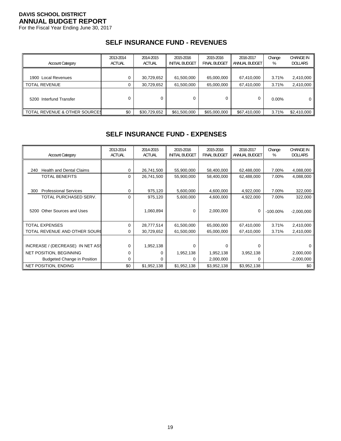For the Fiscal Year Ending June 30, 2017

#### **SELF INSURANCE FUND - REVENUES**

| <b>Account Category</b>                  | 2013-2014     | 2014-2015     | 2015-2016             | 2015-2016           | 2016-2017     | Change   | <b>CHANGE IN</b>         |
|------------------------------------------|---------------|---------------|-----------------------|---------------------|---------------|----------|--------------------------|
|                                          | <b>ACTUAL</b> | <b>ACTUAL</b> | <b>INITIAL BUDGET</b> | <b>FINAL BUDGET</b> | ANNUAL BUDGET | %        | <b>DOLLARS</b>           |
| 1900 Local Revenues                      |               | 30,729,652    | 61,500,000            | 65,000,000          | 67,410,000    | 3.71%    | 2,410,000                |
| <b>TOTAL REVENUE</b>                     |               | 30,729,652    | 61,500,000            | 65,000,000          | 67,410,000    | 3.71%    | 2,410,000                |
| 5200 Interfund Transfer                  |               |               |                       | 0                   | 0             | $0.00\%$ | 0                        |
| <b>TOTAL REVENUE &amp; OTHER SOURCES</b> | \$0           | \$30,729,652  | \$61,500,000          | \$65,000,000        | \$67,410,000  | 3.71%    | $$2,410,000$ $\parallel$ |

## **SELF INSURANCE FUND - EXPENSES**

| <b>Account Category</b>                | 2013-2014<br>ACTUAL | 2014-2015<br><b>ACTUAL</b> | 2015-2016<br><b>INITIAL BUDGET</b> | 2015-2016<br><b>FINAL BUDGET</b> | 2016-2017<br>ANNUAL BUDGET | Change<br>% | <b>CHANGE IN</b><br><b>DOLLARS</b> |
|----------------------------------------|---------------------|----------------------------|------------------------------------|----------------------------------|----------------------------|-------------|------------------------------------|
|                                        |                     |                            |                                    |                                  |                            |             |                                    |
| <b>Health and Dental Claims</b><br>240 | 0                   | 26,741,500                 | 55,900,000                         | 58,400,000                       | 62,488,000                 | 7.00%       | 4,088,000                          |
| <b>TOTAL BENEFITS</b>                  | 0                   | 26,741,500                 | 55,900,000                         | 58,400,000                       | 62,488,000                 | 7.00%       | 4,088,000                          |
|                                        |                     |                            |                                    |                                  |                            |             |                                    |
| <b>Professional Services</b><br>300    | 0                   | 975,120                    | 5,600,000                          | 4,600,000                        | 4,922,000                  | 7.00%       | 322,000                            |
| TOTAL PURCHASED SERV.                  | 0                   | 975,120                    | 5,600,000                          | 4,600,000                        | 4,922,000                  | 7.00%       | 322,000                            |
|                                        |                     |                            |                                    |                                  |                            |             |                                    |
| Other Sources and Uses<br>5200         |                     | 1,060,894                  | 0                                  | 2,000,000                        | 0                          | $-100.00\%$ | $-2,000,000$                       |
|                                        |                     |                            |                                    |                                  |                            |             |                                    |
| <b>TOTAL EXPENSES</b>                  | $\Omega$            | 28,777,514                 | 61,500,000                         | 65,000,000                       | 67,410,000                 | 3.71%       | 2,410,000                          |
| TOTAL REVENUE AND OTHER SOURC          | 0                   | 30,729,652                 | 61,500,000                         | 65,000,000                       | 67,410,000                 | 3.71%       | 2,410,000                          |
|                                        |                     |                            |                                    |                                  |                            |             |                                    |
| INCREASE / (DECREASE) IN NET ASS       | 0                   | 1,952,138                  | $\Omega$                           | 0                                | 0                          |             |                                    |
| <b>NET POSITION, BEGINNING</b>         | 0                   | 0                          | 1,952,138                          | 1,952,138                        | 3,952,138                  |             | 2,000,000                          |
| <b>Budgeted Change in Position</b>     | 0                   | 0                          |                                    | 2,000,000                        | 0                          |             | $-2,000,000$                       |
| NET POSITION, ENDING                   | \$0                 | \$1,952,138                | \$1,952,138                        | \$3,952,138                      | \$3,952,138                |             | \$0                                |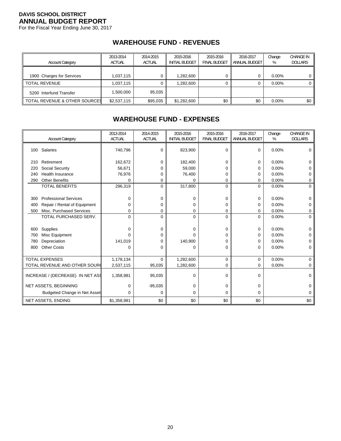For the Fiscal Year Ending June 30, 2017

# **WAREHOUSE FUND - REVENUES**

| <b>Account Category</b>                  | 2013-2014<br><b>ACTUAL</b> | 2014-2015<br><b>ACTUAL</b> | 2015-2016<br><b>INITIAL BUDGET</b> | 2015-2016<br><b>FINAL BUDGET</b> | 2016-2017<br>ANNUAL BUDGET | Change<br>% | <b>CHANGE IN</b><br><b>DOLLARS</b> |
|------------------------------------------|----------------------------|----------------------------|------------------------------------|----------------------------------|----------------------------|-------------|------------------------------------|
| 1900 Charges for Services                | 1.037.115                  |                            | 1.282.600                          | 0                                |                            | $0.00\%$    | $^{\rm o}$                         |
| <b>TOTAL REVENUE</b>                     | 1.037.115                  |                            | .282.600                           | 0                                |                            | $0.00\%$    |                                    |
| 5200 Interfund Transfer                  | 000,000 ا                  | 95.035                     |                                    |                                  |                            |             |                                    |
| <b>TOTAL REVENUE &amp; OTHER SOURCES</b> | \$2,537,115                | \$95,035                   | \$1,282,600                        | \$0                              | \$0                        | $0.00\%$    | \$0                                |

# **WAREHOUSE FUND - EXPENSES**

|     |                                      | 2013-2014     | 2014-2015     | 2015-2016             | 2015-2016           | 2016-2017     | Change | <b>CHANGE IN</b> |
|-----|--------------------------------------|---------------|---------------|-----------------------|---------------------|---------------|--------|------------------|
|     | <b>Account Category</b>              | <b>ACTUAL</b> | <b>ACTUAL</b> | <b>INITIAL BUDGET</b> | <b>FINAL BUDGET</b> | ANNUAL BUDGET | %      | <b>DOLLARS</b>   |
| 100 | Salaries                             | 740,796       | $\Omega$      | 823,900               | 0                   | 0             | 0.00%  | 0                |
| 210 | Retirement                           | 162,672       | $\Omega$      | 182,400               | 0                   | 0             | 0.00%  | 0                |
| 220 | Social Security                      | 56,671        | $\Omega$      | 59,000                | 0                   | $\Omega$      | 0.00%  | 0                |
| 240 | <b>Health Insurance</b>              | 76,976        | 0             | 76,400                | 0                   | $\Omega$      | 0.00%  | 0                |
| 290 | <b>Other Benefits</b>                | 0             | 0             | 0                     | 0                   | 0             | 0.00%  | 0                |
|     | <b>TOTAL BENEFITS</b>                | 296,319       | $\Omega$      | 317,800               | 0                   | $\Omega$      | 0.00%  | $\Omega$         |
|     |                                      |               |               |                       |                     |               |        |                  |
| 300 | <b>Professional Services</b>         | $\Omega$      | $\Omega$      | 0                     | 0                   | 0             | 0.00%  | 0                |
| 400 | Repair / Rental of Equipment         | 0             | 0             | 0                     | 0                   | 0             | 0.00%  | 0                |
| 500 | Misc. Purchased Services             | 0             | 0             | 0                     | 0                   | 0             | 0.00%  | 0                |
|     | TOTAL PURCHASED SERV.                | $\Omega$      | $\Omega$      | $\Omega$              | 0                   | $\Omega$      | 0.00%  | $\Omega$         |
|     |                                      |               |               |                       |                     |               |        |                  |
| 600 | Supplies                             | 0             | $\Omega$      | 0                     | 0                   | 0             | 0.00%  | 0                |
| 700 | Misc Equipment                       | $\Omega$      | 0             | U                     | 0                   | $\Omega$      | 0.00%  | 0                |
| 780 | Depreciation                         | 141,019       | 0             | 140,900               | 0                   | 0             | 0.00%  | 0                |
| 800 | <b>Other Costs</b>                   | $\Omega$      | $\Omega$      | $\Omega$              | 0                   | 0             | 0.00%  | 0                |
|     |                                      |               |               |                       |                     |               |        |                  |
|     | <b>TOTAL EXPENSES</b>                | 1,178,134     | $\Omega$      | 1,282,600             | 0                   | $\mathbf 0$   | 0.00%  | $\Omega$         |
|     | TOTAL REVENUE AND OTHER SOURC        | 2,537,115     | 95,035        | 1,282,600             | 0                   | 0             | 0.00%  | 0                |
|     | INCREASE / (DECREASE) IN NET ASS     | 1,358,981     | 95,035        | $\Omega$              | 0                   | $\Omega$      |        | 0                |
|     | NET ASSETS, BEGINNING                | 0             | $-95,035$     | 0                     | 0                   | 0             |        | 0                |
|     | <b>Budgeted Change in Net Assets</b> | 0             | 0             | 0                     | 0                   | 0             |        | 0                |
|     | NET ASSETS, ENDING                   | \$1,358,981   | \$0           | \$0                   | \$0                 | \$0           |        | \$0              |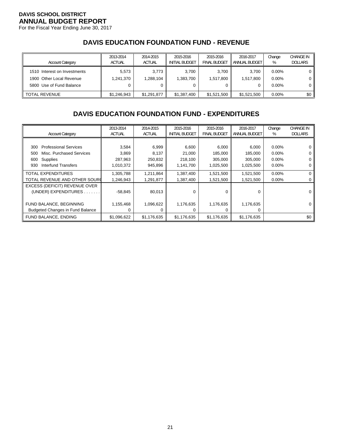For the Fiscal Year Ending June 30, 2017

# **DAVIS EDUCATION FOUNDATION FUND - REVENUE**

| <b>Account Category</b>                                                              | 2013-2014<br><b>ACTUAL</b> | 2014-2015<br><b>ACTUAL</b> | 2015-2016<br><b>INITIAL BUDGET</b> | 2015-2016<br><b>FINAL BUDGET</b> | 2016-2017<br>ANNUAL BUDGET | Change<br>%                      | <b>CHANGE IN</b><br><b>DOLLARS</b> |
|--------------------------------------------------------------------------------------|----------------------------|----------------------------|------------------------------------|----------------------------------|----------------------------|----------------------------------|------------------------------------|
| 1510 Interest on Investments<br>1900 Other Local Revenue<br>5800 Use of Fund Balance | 5.573<br>1,241,370         | 3.773<br>1,288,104         | 3.700<br>1,383,700<br>0            | 3.700<br>1,517,800               | 3.700<br>1.517.800         | $0.00\%$<br>$0.00\%$<br>$0.00\%$ | O<br>0<br>0 l                      |
| <b>TOTAL REVENUE</b>                                                                 | \$1,246,943                | \$1,291,877                | \$1,387,400                        | \$1.521.500                      | \$1,521,500                | $0.00\%$                         | \$0 <sub>1</sub>                   |

# **DAVIS EDUCATION FOUNDATION FUND - EXPENDITURES**

| <b>Account Category</b>                 | 2013-2014<br><b>ACTUAL</b> | 2014-2015<br><b>ACTUAL</b> | 2015-2016<br><b>INITIAL BUDGET</b> | 2015-2016<br><b>FINAL BUDGET</b> | 2016-2017<br>ANNUAL BUDGET | Change<br>% | <b>CHANGE IN</b><br><b>DOLLARS</b> |
|-----------------------------------------|----------------------------|----------------------------|------------------------------------|----------------------------------|----------------------------|-------------|------------------------------------|
|                                         |                            |                            |                                    |                                  |                            |             |                                    |
|                                         |                            |                            |                                    |                                  |                            |             |                                    |
| <b>Professional Services</b><br>300     | 3,584                      | 6,999                      | 6,600                              | 6,000                            | 6,000                      | $0.00\%$    |                                    |
| Misc. Purchased Services<br>500         | 3,869                      | 8,137                      | 21,000                             | 185,000                          | 185,000                    | 0.00%       |                                    |
| Supplies<br>600                         | 287,963                    | 250,832                    | 218,100                            | 305,000                          | 305.000                    | 0.00%       |                                    |
| <b>Interfund Transfers</b><br>930       | 1,010,372                  | 945,896                    | 1,141,700                          | 1,025,500                        | 1,025,500                  | $0.00\%$    | 0                                  |
| <b>TOTAL EXPENDITURES</b>               | 1,305,788                  | 1,211,864                  | 1,387,400                          | 1,521,500                        | 1,521,500                  | 0.00%       | 0                                  |
| TOTAL REVENUE AND OTHER SOURC           | 1,246,943                  | 1,291,877                  | 1,387,400                          | 1,521,500                        | 1,521,500                  | $0.00\%$    | 0                                  |
| EXCESS (DEFICIT) REVENUE OVER           |                            |                            |                                    |                                  |                            |             |                                    |
| (UNDER) EXPENDITURES.                   | $-58,845$                  | 80,013                     | 0                                  | 0                                | $\Omega$                   |             | 0                                  |
|                                         |                            |                            |                                    |                                  |                            |             |                                    |
| FUND BALANCE, BEGINNING                 | 1,155,468                  | 1,096,622                  | 1,176,635                          | 1,176,635                        | 1,176,635                  |             | 0                                  |
| <b>Budgeted Changes in Fund Balance</b> |                            | 0                          | 0                                  | 0                                | 0                          |             |                                    |
| FUND BALANCE, ENDING                    | \$1,096,622                | \$1,176,635                | \$1,176,635                        | \$1,176,635                      | \$1,176,635                |             | \$0                                |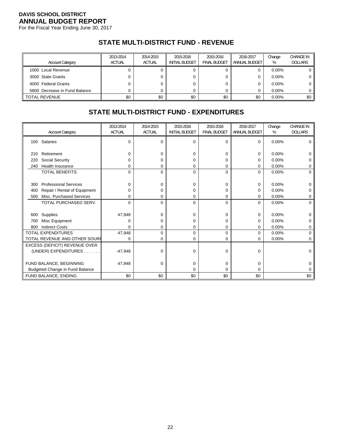For the Fiscal Year Ending June 30, 2017

# **STATE MULTI-DISTRICT FUND - REVENUE**

| <b>Account Category</b>       | 2013-2014<br><b>ACTUAL</b> | 2014-2015<br><b>ACTUAL</b> | 2015-2016<br><b>INITIAL BUDGET</b> | 2015-2016<br><b>FINAL BUDGET</b> | 2016-2017<br>ANNUAL BUDGET | Change<br>% | <b>CHANGE IN</b><br><b>DOLLARS</b> |
|-------------------------------|----------------------------|----------------------------|------------------------------------|----------------------------------|----------------------------|-------------|------------------------------------|
| 1000 Local Revenue            |                            |                            |                                    |                                  |                            | $0.00\%$    |                                    |
|                               |                            |                            |                                    |                                  |                            |             |                                    |
| 3000 State Grants             |                            |                            | 0                                  |                                  |                            | $0.00\%$    | 0 <sup>1</sup>                     |
| 4000 Federal Grants           |                            |                            | 0                                  |                                  |                            | $0.00\%$    | 0                                  |
| 5800 Decrease in Fund Balance |                            |                            |                                    |                                  |                            | $0.00\%$    |                                    |
| II TOTAL REVENUE              | \$0                        | \$0                        | \$0                                | \$0                              | \$0                        | $0.00\%$    | \$0                                |

## **STATE MULTI-DISTRICT FUND - EXPENDITURES**

|     |                                 | 2013-2014     | 2014-2015     | 2015-2016             | 2015-2016           | 2016-2017     | Change   | <b>CHANGE IN</b> |
|-----|---------------------------------|---------------|---------------|-----------------------|---------------------|---------------|----------|------------------|
|     | <b>Account Category</b>         | <b>ACTUAL</b> | <b>ACTUAL</b> | <b>INITIAL BUDGET</b> | <b>FINAL BUDGET</b> | ANNUAL BUDGET | %        | <b>DOLLARS</b>   |
|     | 100 Salaries                    | $\Omega$      | $\Omega$      | 0                     | $\mathbf 0$         | $\Omega$      | 0.00%    | 0                |
| 210 | Retirement                      | $\Omega$      | U             | $\Omega$              | 0                   | $\Omega$      | 0.00%    | U                |
| 220 | Social Security                 | $\Omega$      | U             | 0                     | 0                   | 0             | 0.00%    | 0                |
| 240 | <b>Health Insurance</b>         | 0             | 0             | 0                     | 0                   | 0             | 0.00%    | 0                |
|     | <b>TOTAL BENEFITS</b>           | $\Omega$      | $\Omega$      | $\mathbf 0$           | $\mathbf 0$         | $\Omega$      | 0.00%    | $\mathbf 0$      |
|     |                                 |               |               |                       |                     |               |          |                  |
| 300 | <b>Professional Services</b>    | $\Omega$      | 0             | 0                     | $\mathbf 0$         | 0             | 0.00%    | 0                |
| 400 | Repair / Rental of Equipment    | 0             | 0             | 0                     | 0                   | 0             | 0.00%    | 0                |
| 500 | Misc. Purchased Services        | 0             | 0             | 0                     | $\mathbf 0$         | 0             | 0.00%    | 0                |
|     | TOTAL PURCHASED SERV.           | $\Omega$      | $\Omega$      | $\Omega$              | $\mathbf 0$         | $\Omega$      | 0.00%    | $\Omega$         |
|     |                                 |               |               |                       |                     |               |          |                  |
| 600 | Supplies                        | 47,948        | 0             | 0                     | $\mathbf 0$         | 0             | 0.00%    | 0                |
| 700 | Misc Equipment                  | n             | 0             | 0                     | 0                   | 0             | 0.00%    | 0                |
| 800 | <b>Indirect Costs</b>           | 0             | 0             | 0                     | 0                   | 0             | 0.00%    | 0                |
|     | <b>TOTAL EXPENDITURES</b>       | 47,948        | $\Omega$      | $\Omega$              | $\Omega$            | $\Omega$      | 0.00%    | $\Omega$         |
|     | TOTAL REVENUE AND OTHER SOUR    | 0             | 0             | 0                     | 0                   | 0             | $0.00\%$ | 0                |
|     | EXCESS (DEFICIT) REVENUE OVER   |               |               |                       |                     |               |          |                  |
|     | (UNDER) EXPENDITURES            | $-47,948$     | 0             | 0                     | $\mathbf 0$         | $\Omega$      |          | 0                |
|     |                                 |               |               |                       |                     |               |          |                  |
|     | FUND BALANCE, BEGINNING         | 47,948        | $\Omega$      | 0                     | 0                   | 0             |          | U                |
|     | Budgeted Change in Fund Balance |               |               | 0                     | $\Omega$            | 0             |          | 0                |
|     | FUND BALANCE, ENDING            | \$0           | \$0           | \$0                   | \$0                 | \$0           |          | \$0              |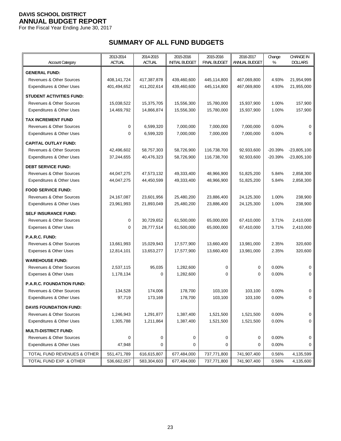For the Fiscal Year Ending June 30, 2017

# **SUMMARY OF ALL FUND BUDGETS**

|                                      | 2013-2014     | 2014-2015     | 2015-2016             | 2015-2016           | 2016-2017     | Change         | <b>CHANGE IN</b> |
|--------------------------------------|---------------|---------------|-----------------------|---------------------|---------------|----------------|------------------|
| <b>Account Category</b>              | <b>ACTUAL</b> | <b>ACTUAL</b> | <b>INITIAL BUDGET</b> | <b>FINAL BUDGET</b> | ANNUAL BUDGET | %              | <b>DOLLARS</b>   |
| <b>GENERAL FUND:</b>                 |               |               |                       |                     |               |                |                  |
| <b>Revenues &amp; Other Sources</b>  | 408,141,724   | 417,387,878   | 439,460,600           | 445,114,800         | 467,069,800   | 4.93%          | 21,954,999       |
| Expenditures & Other Uses            | 401,494,652   | 411,202,614   | 439,460,600           | 445,114,800         | 467,069,800   | 4.93%          | 21,955,000       |
| <b>STUDENT ACTIVITIES FUND:</b>      |               |               |                       |                     |               |                |                  |
| <b>Revenues &amp; Other Sources</b>  | 15,038,522    | 15,375,705    | 15,556,300            | 15,780,000          | 15,937,900    | 1.00%          | 157,900          |
| Expenditures & Other Uses            | 14,469,792    | 14,866,874    | 15,556,300            | 15,780,000          | 15,937,900    | 1.00%          | 157,900          |
| <b>TAX INCREMENT FUND</b>            |               |               |                       |                     |               |                |                  |
| <b>Revenues &amp; Other Sources</b>  | 0             | 6,599,320     | 7,000,000             | 7,000,000           | 7,000,000     | 0.00%          | $\Omega$         |
| Expenditures & Other Uses            | 0             | 6,599,320     | 7,000,000             | 7,000,000           | 7,000,000     | 0.00%          | $\Omega$         |
| <b>CAPITAL OUTLAY FUND:</b>          |               |               |                       |                     |               |                |                  |
| <b>Revenues &amp; Other Sources</b>  | 42,496,602    | 58,757,303    | 58,726,900            | 116,738,700         | 92,933,600    | $-20.39%$      | $-23,805,100$    |
| Expenditures & Other Uses            | 37,244,655    | 40,476,323    | 58,726,900            | 116,738,700         | 92,933,600    | $-20.39%$      | $-23,805,100$    |
| <b>DEBT SERVICE FUND:</b>            |               |               |                       |                     |               |                |                  |
| <b>Revenues &amp; Other Sources</b>  | 44,047,275    | 47,573,132    | 49,333,400            | 48,966,900          | 51,825,200    | 5.84%          | 2,858,300        |
| <b>Expenditures &amp; Other Uses</b> | 44,047,275    | 44,450,599    | 49,333,400            | 48,966,900          | 51,825,200    | 5.84%          | 2,858,300        |
| <b>FOOD SERVICE FUND:</b>            |               |               |                       |                     |               |                |                  |
| <b>Revenues &amp; Other Sources</b>  | 24,167,087    | 23,601,956    | 25,480,200            | 23,886,400          | 24,125,300    | 1.00%          | 238,900          |
| Expenditures & Other Uses            | 23,961,993    | 21,893,049    | 25,480,200            | 23,886,400          | 24,125,300    | 1.00%          | 238,900          |
| <b>SELF INSURANCE FUND:</b>          |               |               |                       |                     |               |                |                  |
| <b>Revenues &amp; Other Sources</b>  | 0             | 30,729,652    | 61,500,000            | 65,000,000          | 67,410,000    | 3.71%          | 2,410,000        |
| Expenses & Other Uses                | 0             | 28,777,514    | 61,500,000            | 65,000,000          | 67,410,000    | 3.71%          | 2,410,000        |
| P.A.R.C. FUND:                       |               |               |                       |                     |               |                |                  |
| Revenues & Other Sources             | 13,661,993    | 15,029,943    | 17,577,900            | 13,660,400          | 13,981,000    | 2.35%          | 320,600          |
| Expenses & Other Uses                | 12,814,101    | 13,653,277    | 17,577,900            | 13,660,400          | 13,981,000    | 2.35%          | 320,600          |
| <b>WAREHOUSE FUND:</b>               |               |               |                       |                     |               |                |                  |
| <b>Revenues &amp; Other Sources</b>  | 2,537,115     | 95,035        | 1,282,600             | $\mathbf 0$         | 0             | 0.00%          | 0                |
| Expenses & Other Uses                | 1,178,134     | $\Omega$      | 1,282,600             | 0                   | $\Omega$      | 0.00%          | 0                |
| P.A.R.C. FOUNDATION FUND:            |               |               |                       |                     |               |                |                  |
| Revenues & Other Sources             | 134,528       | 174,006       | 178,700               | 103,100             | 103,100       | 0.00%          | 0                |
| Expenditures & Other Uses            | 97,719        | 173,169       | 178,700               | 103,100             | 103,100       | 0.00%          | 0                |
| <b>DAVIS FOUNDATION FUND:</b>        |               |               |                       |                     |               |                |                  |
| <b>Revenues &amp; Other Sources</b>  | 1,246,943     | 1,291,877     | 1,387,400             | 1,521,500           | 1,521,500     | 0.00%          | 0                |
| <b>Expenditures &amp; Other Uses</b> | 1,305,788     | 1,211,864     | 1,387,400             | 1,521,500           | 1,521,500     | 0.00%          | 0                |
|                                      |               |               |                       |                     |               |                |                  |
| <b>MULTI-DISTRICT FUND:</b>          |               |               |                       |                     |               |                |                  |
| Revenues & Other Sources             | 0<br>47,948   | 0<br>0        | 0                     | 0                   | 0             | 0.00%<br>0.00% | 0                |
| Expenditures & Other Uses            |               |               | 0                     | 0                   | 0             |                | 0                |
| TOTAL FUND REVENUES & OTHER          | 551,471,789   | 616,615,807   | 677,484,000           | 737,771,800         | 741,907,400   | 0.56%          | 4,135,599        |
| TOTAL FUND EXP. & OTHER              | 536,662,057   | 583,304,603   | 677,484,000           | 737,771,800         | 741,907,400   | 0.56%          | 4,135,600        |